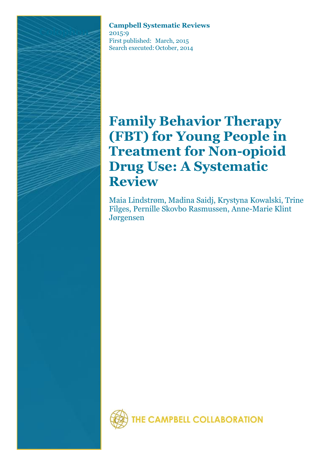**Campbell Systematic Reviews** 2015:9 First published: March, 2015 Search executed: October, 2014

# **Family Behavior Therapy (FBT) for Young People in Treatment for Non-opioid Drug Use: A Systematic Review**

Maia Lindstrøm, Madina Saidj, Krystyna Kowalski, Trine Filges, Pernille Skovbo Rasmussen, Anne-Marie Klint Jørgensen

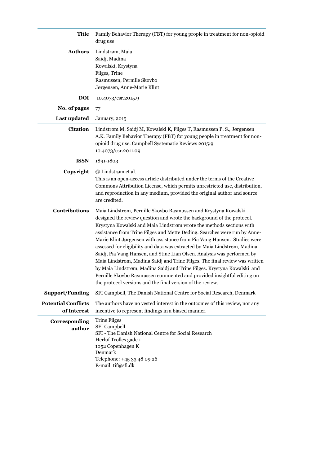| Title                                     | Family Behavior Therapy (FBT) for young prople in treatment for non-opioid<br>drug use                                                                                                                                                                                                                                                                                                                                                                                                                                                                                                                                                                                                                                                                                                                                               |  |
|-------------------------------------------|--------------------------------------------------------------------------------------------------------------------------------------------------------------------------------------------------------------------------------------------------------------------------------------------------------------------------------------------------------------------------------------------------------------------------------------------------------------------------------------------------------------------------------------------------------------------------------------------------------------------------------------------------------------------------------------------------------------------------------------------------------------------------------------------------------------------------------------|--|
| <b>Authors</b>                            | Lindstrøm, Maia<br>Saidj, Madina<br>Kowalski, Krystyna<br>Filges, Trine<br>Rasmussen, Pernille Skovbo<br>Jørgensen, Anne-Marie Klint                                                                                                                                                                                                                                                                                                                                                                                                                                                                                                                                                                                                                                                                                                 |  |
| <b>DOI</b>                                | 10.4073/csr.2015.9                                                                                                                                                                                                                                                                                                                                                                                                                                                                                                                                                                                                                                                                                                                                                                                                                   |  |
| No. of pages                              | 77                                                                                                                                                                                                                                                                                                                                                                                                                                                                                                                                                                                                                                                                                                                                                                                                                                   |  |
| <b>Last updated</b>                       | January, 2015                                                                                                                                                                                                                                                                                                                                                                                                                                                                                                                                                                                                                                                                                                                                                                                                                        |  |
| <b>Citation</b>                           | Lindstrøm M, Saidj M, Kowalski K, Filges T, Rasmussen P. S., Jørgensen<br>A.K. Family Behavior Therapy (FBT) for young people in treatment for non-<br>opioid drug use. Campbell Systematic Reviews 2015:9<br>10.4073/csr.2011.09                                                                                                                                                                                                                                                                                                                                                                                                                                                                                                                                                                                                    |  |
| <b>ISSN</b>                               | 1891-1803                                                                                                                                                                                                                                                                                                                                                                                                                                                                                                                                                                                                                                                                                                                                                                                                                            |  |
| Copyright                                 | © Lindstrøm et al.<br>This is an open-access article distributed under the terms of the Creative<br>Commons Attribution License, which permits unrestricted use, distribution,<br>and reproduction in any medium, provided the original author and source<br>are credited.                                                                                                                                                                                                                                                                                                                                                                                                                                                                                                                                                           |  |
| <b>Contributions</b>                      | Maia Lindstrøm, Pernille Skovbo Rasmussen and Krystyna Kowalski<br>designed the review question and wrote the background of the protocol.<br>Krystyna Kowalski and Maia Lindstrøm wrote the methods sections with<br>assistance from Trine Filges and Mette Deding. Searches were run by Anne-<br>Marie Klint Jørgensen with assistance from Pia Vang Hansen. Studies were<br>assessed for eligibility and data was extracted by Maia Lindstrøm, Madina<br>Saidj, Pia Vang Hansen, and Stine Lian Olsen. Analysis was performed by<br>Maia Lindstrøm, Madina Saidj and Trine Filges. The final review was written<br>by Maia Lindstrøm, Madina Saidj and Trine Filges. Krystyna Kowalski and<br>Pernille Skovbo Rasmussen commented and provided insightful editing on<br>the protocol versions and the final version of the review. |  |
| <b>Support/Funding</b>                    | SFI Campbell, The Danish National Centre for Social Research, Denmark                                                                                                                                                                                                                                                                                                                                                                                                                                                                                                                                                                                                                                                                                                                                                                |  |
| <b>Potential Conflicts</b><br>of Interest | The authors have no vested interest in the outcomes of this review, nor any<br>incentive to represent findings in a biased manner.                                                                                                                                                                                                                                                                                                                                                                                                                                                                                                                                                                                                                                                                                                   |  |
| Corresponding<br>author                   | <b>Trine Filges</b><br><b>SFI</b> Campbell<br>SFI - The Danish National Centre for Social Research<br>Herluf Trolles gade 11<br>1052 Copenhagen K<br>Denmark<br>Telephone: +45 33 48 09 26<br>E-mail: tif@sfi.dk                                                                                                                                                                                                                                                                                                                                                                                                                                                                                                                                                                                                                     |  |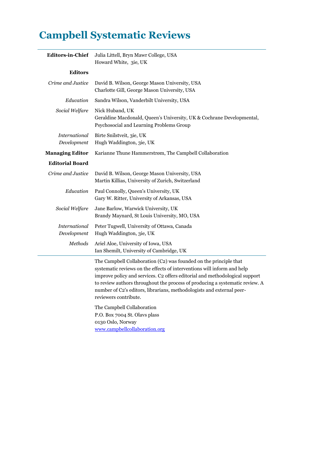## **Campbell Systematic Reviews**

| <b>Editors-in-Chief</b>             | Julia Littell, Bryn Mawr College, USA<br>Howard White, 3ie, UK                                                                                                                                                                                                                                                                                                                                                                              |  |
|-------------------------------------|---------------------------------------------------------------------------------------------------------------------------------------------------------------------------------------------------------------------------------------------------------------------------------------------------------------------------------------------------------------------------------------------------------------------------------------------|--|
| <b>Editors</b>                      |                                                                                                                                                                                                                                                                                                                                                                                                                                             |  |
| Crime and Justice                   | David B. Wilson, George Mason University, USA<br>Charlotte Gill, George Mason University, USA                                                                                                                                                                                                                                                                                                                                               |  |
| Education                           | Sandra Wilson, Vanderbilt University, USA                                                                                                                                                                                                                                                                                                                                                                                                   |  |
| Social Welfare                      | Nick Huband, UK<br>Geraldine Macdonald, Queen's University, UK & Cochrane Developmental,<br>Psychosocial and Learning Problems Group                                                                                                                                                                                                                                                                                                        |  |
| <b>International</b><br>Development | Birte Snilstveit, 3ie, UK<br>Hugh Waddington, 3ie, UK                                                                                                                                                                                                                                                                                                                                                                                       |  |
| <b>Managing Editor</b>              | Karianne Thune Hammerstrøm, The Campbell Collaboration                                                                                                                                                                                                                                                                                                                                                                                      |  |
| <b>Editorial Board</b>              |                                                                                                                                                                                                                                                                                                                                                                                                                                             |  |
| Crime and Justice                   | David B. Wilson, George Mason University, USA<br>Martin Killias, University of Zurich, Switzerland                                                                                                                                                                                                                                                                                                                                          |  |
| Education                           | Paul Connolly, Queen's University, UK<br>Gary W. Ritter, University of Arkansas, USA                                                                                                                                                                                                                                                                                                                                                        |  |
| Social Welfare                      | Jane Barlow, Warwick University, UK<br>Brandy Maynard, St Louis University, MO, USA                                                                                                                                                                                                                                                                                                                                                         |  |
| International<br>Development        | Peter Tugwell, University of Ottawa, Canada<br>Hugh Waddington, 3ie, UK                                                                                                                                                                                                                                                                                                                                                                     |  |
| <b>Methods</b>                      | Ariel Aloe, University of Iowa, USA<br>Ian Shemilt, University of Cambridge, UK                                                                                                                                                                                                                                                                                                                                                             |  |
|                                     | The Campbell Collaboration (C2) was founded on the principle that<br>systematic reviews on the effects of interventions will inform and help<br>improve policy and services. C2 offers editorial and methodological support<br>to review authors throughout the process of producing a systematic review. A<br>number of C2's editors, librarians, methodologists and external peer-<br>reviewers contribute.<br>The Campbell Collaboration |  |
|                                     | P.O. Box 7004 St. Olavs plass<br>0130 Oslo, Norway                                                                                                                                                                                                                                                                                                                                                                                          |  |

[www.campbellcollaboration.org](http://www.campbellcollaboration.org/)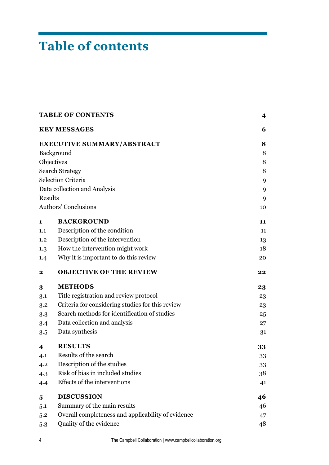# **Table of contents**

| <b>TABLE OF CONTENTS</b> | 4                                                  |    |
|--------------------------|----------------------------------------------------|----|
|                          | <b>KEY MESSAGES</b>                                | 6  |
|                          | <b>EXECUTIVE SUMMARY/ABSTRACT</b>                  | 8  |
|                          | Background                                         | 8  |
| Objectives               |                                                    | 8  |
| <b>Search Strategy</b>   |                                                    | 8  |
|                          | <b>Selection Criteria</b>                          | 9  |
|                          | Data collection and Analysis                       | 9  |
| Results                  |                                                    | 9  |
|                          | Authors' Conclusions                               | 10 |
| 1                        | <b>BACKGROUND</b>                                  | 11 |
| 1.1                      | Description of the condition                       | 11 |
| 1.2                      | Description of the intervention                    | 13 |
| 1.3                      | How the intervention might work                    | 18 |
| 1.4                      | Why it is important to do this review              | 20 |
| $\mathbf 2$              | <b>OBJECTIVE OF THE REVIEW</b>                     | 22 |
| 3                        | <b>METHODS</b>                                     | 23 |
| 3.1                      | Title registration and review protocol             | 23 |
| 3.2                      | Criteria for considering studies for this review   | 23 |
| 3.3                      | Search methods for identification of studies       | 25 |
| 3.4                      | Data collection and analysis                       | 27 |
| 3.5                      | Data synthesis                                     | 31 |
| 4                        | <b>RESULTS</b>                                     | 33 |
| 4.1                      | Results of the search                              | 33 |
| 4.2                      | Description of the studies                         | 33 |
| 4.3                      | Risk of bias in included studies                   | 38 |
| 4.4                      | Effects of the interventions                       | 41 |
| 5                        | <b>DISCUSSION</b>                                  | 46 |
| 5.1                      | Summary of the main results                        | 46 |
| 5.2                      | Overall completeness and applicability of evidence | 47 |
| 5.3                      | Quality of the evidence                            | 48 |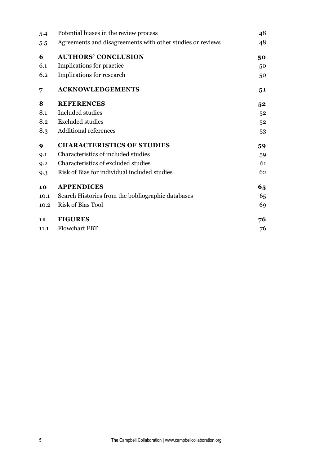| 5.4  | Potential biases in the review process                     |                |
|------|------------------------------------------------------------|----------------|
| 5.5  | Agreements and disagreements with other studies or reviews | 48             |
| 6    | <b>AUTHORS' CONCLUSION</b>                                 | 50             |
| 6.1  | Implications for practice                                  | 50             |
| 6.2  | Implications for research                                  | 50             |
| 7    | <b>ACKNOWLEDGEMENTS</b>                                    | 51             |
| 8    | <b>REFERENCES</b>                                          | 5 <sup>2</sup> |
| 8.1  | Included studies                                           | 52             |
| 8.2  | <b>Excluded studies</b>                                    | 52             |
| 8.3  | <b>Additional references</b>                               | 53             |
| 9    | <b>CHARACTERISTICS OF STUDIES</b>                          | 59             |
| 9.1  | Characteristics of included studies                        | 59             |
| 9.2  | Characteristics of excluded studies                        | 61             |
| 9.3  | Risk of Bias for individual included studies               | 62             |
| 10   | <b>APPENDICES</b>                                          | 65             |
| 10.1 | Search Histories from the bobliographic databases          | 65             |
| 10.2 | <b>Risk of Bias Tool</b>                                   | 69             |
| 11   | <b>FIGURES</b>                                             | 76             |
| 11.1 | <b>Flowchart FBT</b>                                       | 76             |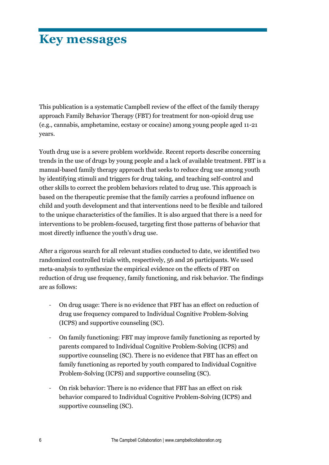## **Key messages**

This publication is a systematic Campbell review of the effect of the family therapy approach Family Behavior Therapy (FBT) for treatment for non-opioid drug use (e.g., cannabis, amphetamine, ecstasy or cocaine) among young people aged 11-21 years.

Youth drug use is a severe problem worldwide. Recent reports describe concerning trends in the use of drugs by young people and a lack of available treatment. FBT is a manual-based family therapy approach that seeks to reduce drug use among youth by identifying stimuli and triggers for drug taking, and teaching self-control and other skills to correct the problem behaviors related to drug use. This approach is based on the therapeutic premise that the family carries a profound influence on child and youth development and that interventions need to be flexible and tailored to the unique characteristics of the families. It is also argued that there is a need for interventions to be problem-focused, targeting first those patterns of behavior that most directly influence the youth's drug use.

After a rigorous search for all relevant studies conducted to date, we identified two randomized controlled trials with, respectively, 56 and 26 participants. We used meta-analysis to synthesize the empirical evidence on the effects of FBT on reduction of drug use frequency, family functioning, and risk behavior. The findings are as follows:

- On drug usage: There is no evidence that FBT has an effect on reduction of drug use frequency compared to Individual Cognitive Problem-Solving (ICPS) and supportive counseling (SC).
- On family functioning: FBT may improve family functioning as reported by parents compared to Individual Cognitive Problem-Solving (ICPS) and supportive counseling (SC). There is no evidence that FBT has an effect on family functioning as reported by youth compared to Individual Cognitive Problem-Solving (ICPS) and supportive counseling (SC).
- On risk behavior: There is no evidence that FBT has an effect on risk behavior compared to Individual Cognitive Problem-Solving (ICPS) and supportive counseling (SC).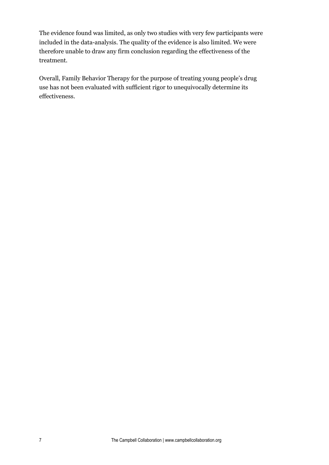The evidence found was limited, as only two studies with very few participants were included in the data-analysis. The quality of the evidence is also limited. We were therefore unable to draw any firm conclusion regarding the effectiveness of the treatment.

Overall, Family Behavior Therapy for the purpose of treating young people's drug use has not been evaluated with sufficient rigor to unequivocally determine its effectiveness.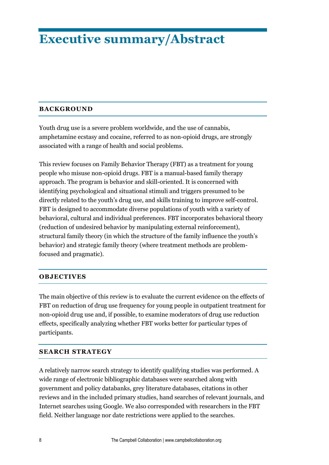## **Executive summary/Abstract**

#### **BACKGROUND**

Youth drug use is a severe problem worldwide, and the use of cannabis, amphetamine ecstasy and cocaine, referred to as non-opioid drugs, are strongly associated with a range of health and social problems.

This review focuses on Family Behavior Therapy (FBT) as a treatment for young people who misuse non-opioid drugs. FBT is a manual-based family therapy approach. The program is behavior and skill-oriented. It is concerned with identifying psychological and situational stimuli and triggers presumed to be directly related to the youth's drug use, and skills training to improve self-control. FBT is designed to accommodate diverse populations of youth with a variety of behavioral, cultural and individual preferences. FBT incorporates behavioral theory (reduction of undesired behavior by manipulating external reinforcement), structural family theory (in which the structure of the family influence the youth's behavior) and strategic family theory (where treatment methods are problemfocused and pragmatic).

#### **OBJECTIVES**

The main objective of this review is to evaluate the current evidence on the effects of FBT on reduction of drug use frequency for young people in outpatient treatment for non-opioid drug use and, if possible, to examine moderators of drug use reduction effects, specifically analyzing whether FBT works better for particular types of participants.

#### **SEARCH STRATEGY**

A relatively narrow search strategy to identify qualifying studies was performed. A wide range of electronic bibliographic databases were searched along with government and policy databanks, grey literature databases, citations in other reviews and in the included primary studies, hand searches of relevant journals, and Internet searches using Google. We also corresponded with researchers in the FBT field. Neither language nor date restrictions were applied to the searches.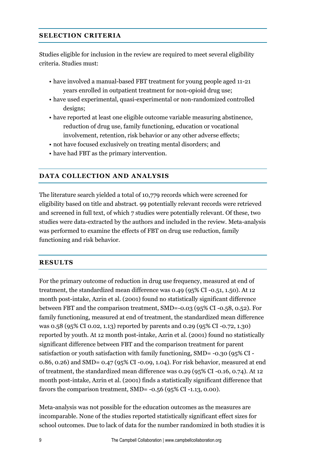#### **SELECTION CRITERIA**

Studies eligible for inclusion in the review are required to meet several eligibility criteria. Studies must:

- have involved a manual-based FBT treatment for young people aged 11-21 years enrolled in outpatient treatment for non-opioid drug use;
- have used experimental, quasi-experimental or non-randomized controlled designs;
- have reported at least one eligible outcome variable measuring abstinence, reduction of drug use, family functioning, education or vocational involvement, retention, risk behavior or any other adverse effects;
- not have focused exclusively on treating mental disorders; and
- have had FBT as the primary intervention.

#### **DATA COLLECTION AND ANALYSIS**

The literature search yielded a total of 10,779 records which were screened for eligibility based on title and abstract. 99 potentially relevant records were retrieved and screened in full text, of which 7 studies were potentially relevant. Of these, two studies were data-extracted by the authors and included in the review. Meta-analysis was performed to examine the effects of FBT on drug use reduction, family functioning and risk behavior.

#### **RESULTS**

For the primary outcome of reduction in drug use frequency, measured at end of treatment, the standardized mean difference was 0.49 (95% CI -0.51, 1.50). At 12 month post-intake, Azrin et al. (2001) found no statistically significant difference between FBT and the comparison treatment, SMD=-0.03 (95% CI -0.58, 0.52). For family functioning, measured at end of treatment, the standardized mean difference was 0.58 (95% CI 0.02, 1.13) reported by parents and 0.29 (95% CI -0.72, 1.30) reported by youth. At 12 month post-intake, Azrin et al. (2001) found no statistically significant difference between FBT and the comparison treatment for parent satisfaction or youth satisfaction with family functioning, SMD= -0.30 (95% CI - 0.86, 0.26) and SMD= 0.47 (95% CI -0.09, 1.04). For risk behavior, measured at end of treatment, the standardized mean difference was 0.29 (95% CI -0.16, 0.74). At 12 month post-intake, Azrin et al. (2001) finds a statistically significant difference that favors the comparison treatment, SMD= -0.56 (95% CI -1.13, 0.00).

Meta-analysis was not possible for the education outcomes as the measures are incomparable. None of the studies reported statistically significant effect sizes for school outcomes. Due to lack of data for the number randomized in both studies it is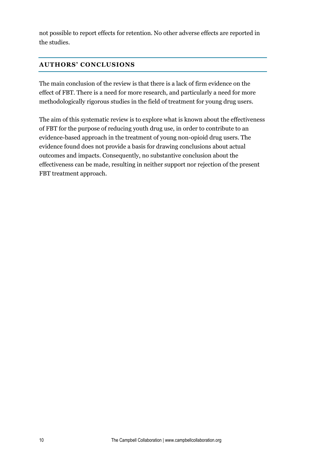not possible to report effects for retention. No other adverse effects are reported in the studies.

## **AUTHORS' CONCLUSIONS**

The main conclusion of the review is that there is a lack of firm evidence on the effect of FBT. There is a need for more research, and particularly a need for more methodologically rigorous studies in the field of treatment for young drug users.

The aim of this systematic review is to explore what is known about the effectiveness of FBT for the purpose of reducing youth drug use, in order to contribute to an evidence-based approach in the treatment of young non-opioid drug users. The evidence found does not provide a basis for drawing conclusions about actual outcomes and impacts. Consequently, no substantive conclusion about the effectiveness can be made, resulting in neither support nor rejection of the present FBT treatment approach.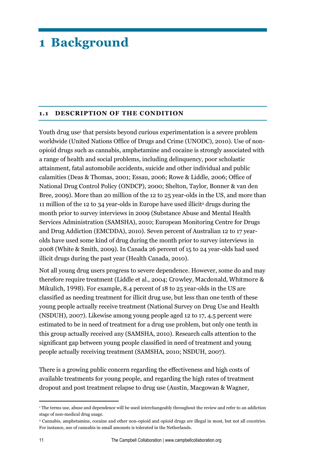## **1 Background**

#### **1.1 DESCRIPTION OF THE CONDITION**

Youth drug use<sup>1</sup> that persists beyond curious experimentation is a severe problem worldwide (United Nations Office of Drugs and Crime (UNODC), 2010). Use of nonopioid drugs such as cannabis, amphetamine and cocaine is strongly associated with a range of health and social problems, including delinquency, poor scholastic attainment, fatal automobile accidents, suicide and other individual and public calamities (Deas & Thomas, 2001; Essau, 2006; Rowe & Liddle, 2006; Office of National Drug Control Policy (ONDCP), 2000; Shelton, Taylor, Bonner & van den Bree, 2009). More than 20 million of the 12 to 25 year-olds in the US, and more than 11 million of the 12 to 34 year-olds in Europe have used illicit<sup>2</sup> drugs during the month prior to survey interviews in 2009 (Substance Abuse and Mental Health Services Administration (SAMSHA), 2010; European Monitoring Centre for Drugs and Drug Addiction (EMCDDA), 2010). Seven percent of Australian 12 to 17 yearolds have used some kind of drug during the month prior to survey interviews in 2008 (White & Smith, 2009). In Canada 26 percent of 15 to 24 year-olds had used illicit drugs during the past year (Health Canada, 2010).

Not all young drug users progress to severe dependence. However, some do and may therefore require treatment (Liddle et al., 2004; Crowley, Macdonald, Whitmore & Mikulich, 1998). For example, 8.4 percent of 18 to 25 year-olds in the US are classified as needing treatment for illicit drug use, but less than one tenth of these young people actually receive treatment (National Survey on Drug Use and Health (NSDUH), 2007). Likewise among young people aged 12 to 17, 4.5 percent were estimated to be in need of treatment for a drug use problem, but only one tenth in this group actually received any (SAMSHA, 2010). Research calls attention to the significant gap between young people classified in need of treatment and young people actually receiving treatment (SAMSHA, 2010; NSDUH, 2007).

There is a growing public concern regarding the effectiveness and high costs of available treatments for young people, and regarding the high rates of treatment dropout and post treatment relapse to drug use (Austin, Macgowan & Wagner,

 $\overline{a}$ 

<sup>1</sup> The terms use, abuse and dependence will be used interchangeably throughout the review and refer to an addiction stage of non-medical drug usage.

<sup>2</sup> Cannabis, amphetamine, cocaine and other non-opioid and opioid drugs are illegal in most, but not all countries. For instance, use of cannabis in small amounts is tolerated in the Netherlands.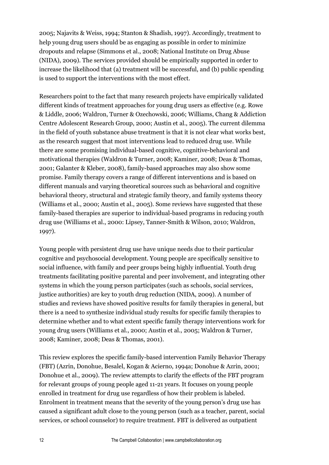2005; Najavits & Weiss, 1994; Stanton & Shadish, 1997). Accordingly, treatment to help young drug users should be as engaging as possible in order to minimize dropouts and relapse (Simmons et al., 2008; National Institute on Drug Abuse (NIDA), 2009). The services provided should be empirically supported in order to increase the likelihood that (a) treatment will be successful, and (b) public spending is used to support the interventions with the most effect.

Researchers point to the fact that many research projects have empirically validated different kinds of treatment approaches for young drug users as effective (e.g. Rowe & Liddle, 2006; Waldron, Turner & Ozechowski, 2006; Williams, Chang & Addiction Centre Adolescent Research Group, 2000; Austin et al., 2005). The current dilemma in the field of youth substance abuse treatment is that it is not clear what works best, as the research suggest that most interventions lead to reduced drug use. While there are some promising individual-based cognitive, cognitive-behavioral and motivational therapies (Waldron & Turner, 2008; Kaminer, 2008; Deas & Thomas, 2001; Galanter & Kleber, 2008), family-based approaches may also show some promise. Family therapy covers a range of different interventions and is based on different manuals and varying theoretical sources such as behavioral and cognitive behavioral theory, structural and strategic family theory, and family systems theory (Williams et al., 2000; Austin et al., 2005). Some reviews have suggested that these family-based therapies are superior to individual-based programs in reducing youth drug use (Williams et al., 2000: Lipsey, Tanner-Smith & Wilson, 2010; Waldron, 1997).

Young people with persistent drug use have unique needs due to their particular cognitive and psychosocial development. Young people are specifically sensitive to social influence, with family and peer groups being highly influential. Youth drug treatments facilitating positive parental and peer involvement, and integrating other systems in which the young person participates (such as schools, social services, justice authorities) are key to youth drug reduction (NIDA, 2009). A number of studies and reviews have showed positive results for family therapies in general, but there is a need to synthesize individual study results for specific family therapies to determine whether and to what extent specific family therapy interventions work for young drug users (Williams et al., 2000; Austin et al., 2005; Waldron & Turner, 2008; Kaminer, 2008; Deas & Thomas, 2001).

This review explores the specific family-based intervention Family Behavior Therapy (FBT) (Azrin, Donohue, Besalel, Kogan & Acierno, 1994a; Donohue & Azrin, 2001; Donohue et al., 2009). The review attempts to clarify the effects of the FBT program for relevant groups of young people aged 11-21 years. It focuses on young people enrolled in treatment for drug use regardless of how their problem is labeled. Enrolment in treatment means that the severity of the young person's drug use has caused a significant adult close to the young person (such as a teacher, parent, social services, or school counselor) to require treatment. FBT is delivered as outpatient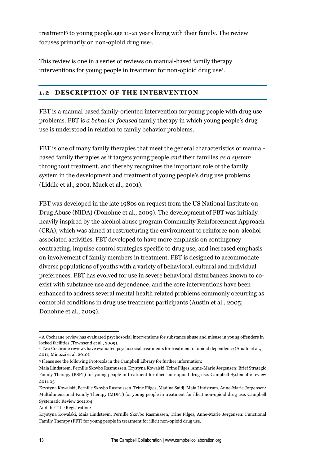treatment<sup>3</sup> to young people age 11-21 years living with their family. The review focuses primarily on non-opioid drug use<sup>4</sup> .

This review is one in a series of reviews on manual-based family therapy interventions for young people in treatment for non-opioid drug use<sup>5</sup> .

#### **1.2 DESCRIPTION OF THE INTERVENTION**

FBT is a manual based family-oriented intervention for young people with drug use problems. FBT is *a behavior focused* family therapy in which young people's drug use is understood in relation to family behavior problems.

FBT is one of many family therapies that meet the general characteristics of manualbased family therapies as it targets young people *and* their families *as a system* throughout treatment, and thereby recognizes the important role of the family system in the development and treatment of young people's drug use problems (Liddle et al., 2001, Muck et al., 2001).

FBT was developed in the late 1980s on request from the US National Institute on Drug Abuse (NIDA) (Donohue et al., 2009). The development of FBT was initially heavily inspired by the alcohol abuse program Community Reinforcement Approach (CRA), which was aimed at restructuring the environment to reinforce non-alcohol associated activities. FBT developed to have more emphasis on contingency contracting, impulse control strategies specific to drug use, and increased emphasis on involvement of family members in treatment. FBT is designed to accommodate diverse populations of youths with a variety of behavioral, cultural and individual preferences. FBT has evolved for use in severe behavioral disturbances known to coexist with substance use and dependence, and the core interventions have been enhanced to address several mental health related problems commonly occurring as comorbid conditions in drug use treatment participants (Austin et al., 2005; Donohue et al., 2009).

And the Title Registration:

**<sup>.</sup>** <sup>3</sup> A Cochrane review has evaluated psychosocial interventions for substance abuse and misuse in young offenders in locked facilities (Townsend et al., 2009).

<sup>4</sup> Two Cochrane reviews have evaluated psychosocial treatments for treatment of opioid dependence (Amato et al., 2011; Minozzi et al. 2010).

<sup>5</sup> Please see the following Protocols in the Campbell Library for further information:

Maia Lindstrøm, Pernille Skovbo Rasmussen, Krystyna Kowalski, Trine Filges, Anne-Marie Jørgensen: Brief Strategic Family Therapy (BSFT) for young people in treatment for illicit non-opioid drug use. Campbell Systematic review 2011:05

Krystyna Kowalski, Pernille Skovbo Rasmussen, Trine Filges, Madina Saidj, Maia Lindstrøm, Anne-Marie Jørgensen: Multidimensional Family Therapy (MDFT) for young people in treatment for illicit non-opioid drug use. Campbell Systematic Review 2011:04

Krystyna Kowalski, Maia Lindstrøm, Pernille Skovbo Rasmussen, Trine Filges, Anne-Marie Jørgensen: Functional Family Therapy (FFT) for young people in treatment for illicit non-opioid drug use.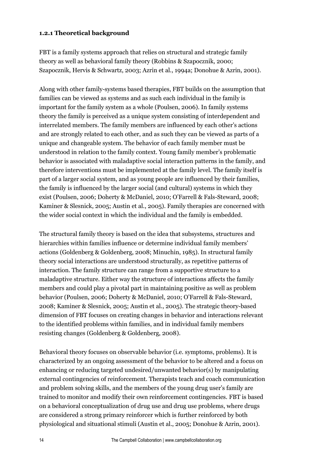#### **1.2.1 Theoretical background**

FBT is a family systems approach that relies on structural and strategic family theory as well as behavioral family theory (Robbins & Szapocznik, 2000; Szapocznik, Hervis & Schwartz, 2003; Azrin et al., 1994a; Donohue & Azrin, 2001).

Along with other family-systems based therapies, FBT builds on the assumption that families can be viewed as systems and as such each individual in the family is important for the family system as a whole (Poulsen, 2006). In family systems theory the family is perceived as a unique system consisting of interdependent and interrelated members. The family members are influenced by each other's actions and are strongly related to each other, and as such they can be viewed as parts of a unique and changeable system. The behavior of each family member must be understood in relation to the family context. Young family member's problematic behavior is associated with maladaptive social interaction patterns in the family, and therefore interventions must be implemented at the family level. The family itself is part of a larger social system, and as young people are influenced by their families, the family is influenced by the larger social (and cultural) systems in which they exist (Poulsen, 2006; Doherty & McDaniel, 2010; O'Farrell & Fals-Steward, 2008; Kaminer & Slesnick, 2005; Austin et al., 2005). Family therapies are concerned with the wider social context in which the individual and the family is embedded.

The structural family theory is based on the idea that subsystems, structures and hierarchies within families influence or determine individual family members' actions (Goldenberg & Goldenberg, 2008; Minuchin, 1985). In structural family theory social interactions are understood structurally, as repetitive patterns of interaction. The family structure can range from a supportive structure to a maladaptive structure. Either way the structure of interactions affects the family members and could play a pivotal part in maintaining positive as well as problem behavior (Poulsen, 2006; Doherty & McDaniel, 2010; O'Farrell & Fals-Steward, 2008; Kaminer & Slesnick, 2005; Austin et al., 2005). The strategic theory-based dimension of FBT focuses on creating changes in behavior and interactions relevant to the identified problems within families, and in individual family members resisting changes (Goldenberg & Goldenberg, 2008).

Behavioral theory focuses on observable behavior (i.e. symptoms, problems). It is characterized by an ongoing assessment of the behavior to be altered and a focus on enhancing or reducing targeted undesired/unwanted behavior(s) by manipulating external contingencies of reinforcement. Therapists teach and coach communication and problem solving skills, and the members of the young drug user's family are trained to monitor and modify their own reinforcement contingencies. FBT is based on a behavioral conceptualization of drug use and drug use problems, where drugs are considered a strong primary reinforcer which is further reinforced by both physiological and situational stimuli (Austin et al., 2005; Donohue & Azrin, 2001).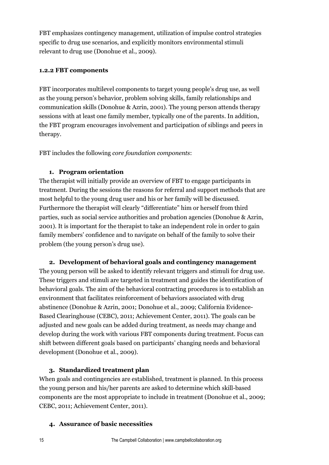FBT emphasizes contingency management, utilization of impulse control strategies specific to drug use scenarios, and explicitly monitors environmental stimuli relevant to drug use (Donohue et al., 2009).

#### **1.2.2 FBT components**

FBT incorporates multilevel components to target young people's drug use, as well as the young person's behavior, problem solving skills, family relationships and communication skills (Donohue & Azrin, 2001). The young person attends therapy sessions with at least one family member, typically one of the parents. In addition, the FBT program encourages involvement and participation of siblings and peers in therapy.

FBT includes the following *core foundation components*:

#### **1. Program orientation**

The therapist will initially provide an overview of FBT to engage participants in treatment. During the sessions the reasons for referral and support methods that are most helpful to the young drug user and his or her family will be discussed. Furthermore the therapist will clearly "differentiate" him or herself from third parties, such as social service authorities and probation agencies (Donohue & Azrin, 2001). It is important for the therapist to take an independent role in order to gain family members' confidence and to navigate on behalf of the family to solve their problem (the young person's drug use).

#### **2. Development of behavioral goals and contingency management**

The young person will be asked to identify relevant triggers and stimuli for drug use. These triggers and stimuli are targeted in treatment and guides the identification of behavioral goals. The aim of the behavioral contracting procedures is to establish an environment that facilitates reinforcement of behaviors associated with drug abstinence (Donohue & Azrin, 2001; Donohue et al., 2009; California Evidence-Based Clearinghouse (CEBC), 2011; Achievement Center, 2011). The goals can be adjusted and new goals can be added during treatment, as needs may change and develop during the work with various FBT components during treatment. Focus can shift between different goals based on participants' changing needs and behavioral development (Donohue et al., 2009).

## **3. Standardized treatment plan**

When goals and contingencies are established, treatment is planned. In this process the young person and his/her parents are asked to determine which skill-based components are the most appropriate to include in treatment (Donohue et al., 2009; CEBC, 2011; Achievement Center, 2011).

#### **4. Assurance of basic necessities**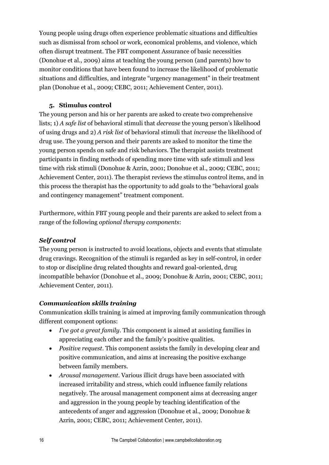Young people using drugs often experience problematic situations and difficulties such as dismissal from school or work, economical problems, and violence, which often disrupt treatment. The FBT component Assurance of basic necessities (Donohue et al., 2009) aims at teaching the young person (and parents) how to monitor conditions that have been found to increase the likelihood of problematic situations and difficulties, and integrate "urgency management" in their treatment plan (Donohue et al., 2009; CEBC, 2011; Achievement Center, 2011).

#### **5. Stimulus control**

The young person and his or her parents are asked to create two comprehensive lists; 1) *A safe list* of behavioral stimuli that *decrease* the young person's likelihood of using drugs and 2) *A risk list* of behavioral stimuli that *increase* the likelihood of drug use. The young person and their parents are asked to monitor the time the young person spends on safe and risk behaviors. The therapist assists treatment participants in finding methods of spending more time with safe stimuli and less time with risk stimuli (Donohue & Azrin, 2001; Donohue et al., 2009; CEBC, 2011; Achievement Center, 2011). The therapist reviews the stimulus control items, and in this process the therapist has the opportunity to add goals to the "behavioral goals and contingency management" treatment component.

Furthermore, within FBT young people and their parents are asked to select from a range of the following *optional therapy components*:

#### *Self control*

The young person is instructed to avoid locations, objects and events that stimulate drug cravings. Recognition of the stimuli is regarded as key in self-control, in order to stop or discipline drug related thoughts and reward goal-oriented, drug incompatible behavior (Donohue et al., 2009; Donohue & Azrin, 2001; CEBC, 2011; Achievement Center, 2011).

#### *Communication skills training*

Communication skills training is aimed at improving family communication through different component options:

- *I've got a great family*. This component is aimed at assisting families in appreciating each other and the family's positive qualities.
- *Positive request*. This component assists the family in developing clear and positive communication, and aims at increasing the positive exchange between family members.
- *Arousal management*. Various illicit drugs have been associated with increased irritability and stress, which could influence family relations negatively. The arousal management component aims at decreasing anger and aggression in the young people by teaching identification of the antecedents of anger and aggression (Donohue et al., 2009; Donohue & Azrin, 2001; CEBC, 2011; Achievement Center, 2011).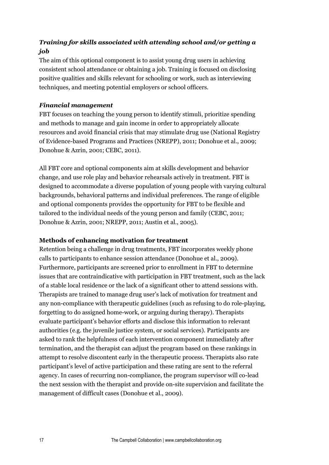## *Training for skills associated with attending school and/or getting a job*

The aim of this optional component is to assist young drug users in achieving consistent school attendance or obtaining a job. Training is focused on disclosing positive qualities and skills relevant for schooling or work, such as interviewing techniques, and meeting potential employers or school officers.

#### *Financial management*

FBT focuses on teaching the young person to identify stimuli, prioritize spending and methods to manage and gain income in order to appropriately allocate resources and avoid financial crisis that may stimulate drug use (National Registry of Evidence-based Programs and Practices (NREPP), 2011; Donohue et al., 2009; Donohue & Azrin, 2001; CEBC, 2011).

All FBT core and optional components aim at skills development and behavior change, and use role play and behavior rehearsals actively in treatment. FBT is designed to accommodate a diverse population of young people with varying cultural backgrounds, behavioral patterns and individual preferences. The range of eligible and optional components provides the opportunity for FBT to be flexible and tailored to the individual needs of the young person and family (CEBC, 2011; Donohue & Azrin, 2001; NREPP, 2011; Austin et al., 2005).

#### **Methods of enhancing motivation for treatment**

Retention being a challenge in drug treatments, FBT incorporates weekly phone calls to participants to enhance session attendance (Donohue et al., 2009). Furthermore, participants are screened prior to enrollment in FBT to determine issues that are contraindicative with participation in FBT treatment, such as the lack of a stable local residence or the lack of a significant other to attend sessions with. Therapists are trained to manage drug user's lack of motivation for treatment and any non-compliance with therapeutic guidelines (such as refusing to do role-playing, forgetting to do assigned home-work, or arguing during therapy). Therapists evaluate participant's behavior efforts and disclose this information to relevant authorities (e.g. the juvenile justice system, or social services). Participants are asked to rank the helpfulness of each intervention component immediately after termination, and the therapist can adjust the program based on these rankings in attempt to resolve discontent early in the therapeutic process. Therapists also rate participant's level of active participation and these rating are sent to the referral agency. In cases of recurring non-compliance, the program supervisor will co-lead the next session with the therapist and provide on-site supervision and facilitate the management of difficult cases (Donohue et al., 2009).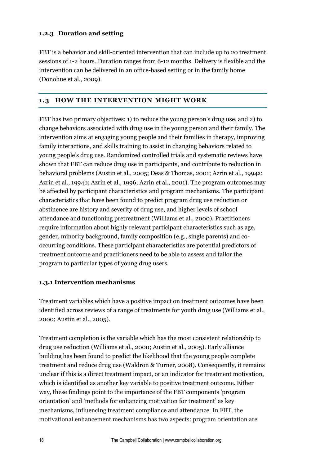#### **1.2.3 Duration and setting**

FBT is a behavior and skill-oriented intervention that can include up to 20 treatment sessions of 1-2 hours. Duration ranges from 6-12 months. Delivery is flexible and the intervention can be delivered in an office-based setting or in the family home (Donohue et al., 2009).

#### **1.3 HOW THE INTERVENTION MIGHT WORK**

FBT has two primary objectives: 1) to reduce the young person's drug use, and 2) to change behaviors associated with drug use in the young person and their family. The intervention aims at engaging young people and their families in therapy, improving family interactions, and skills training to assist in changing behaviors related to young people's drug use. Randomized controlled trials and systematic reviews have shown that FBT can reduce drug use in participants, and contribute to reduction in behavioral problems (Austin et al., 2005; Deas & Thomas, 2001; Azrin et al., 1994a; Azrin et al., 1994b; Azrin et al., 1996; Azrin et al., 2001). The program outcomes may be affected by participant characteristics and program mechanisms. The participant characteristics that have been found to predict program drug use reduction or abstinence are history and severity of drug use, and higher levels of school attendance and functioning pretreatment (Williams et al., 2000). Practitioners require information about highly relevant participant characteristics such as age, gender, minority background, family composition (e.g., single parents) and cooccurring conditions. These participant characteristics are potential predictors of treatment outcome and practitioners need to be able to assess and tailor the program to particular types of young drug users.

#### **1.3.1 Intervention mechanisms**

Treatment variables which have a positive impact on treatment outcomes have been identified across reviews of a range of treatments for youth drug use (Williams et al., 2000; Austin et al., 2005).

Treatment completion is the variable which has the most consistent relationship to drug use reduction (Williams et al., 2000; Austin et al., 2005). Early alliance building has been found to predict the likelihood that the young people complete treatment and reduce drug use (Waldron & Turner, 2008). Consequently, it remains unclear if this is a direct treatment impact, or an indicator for treatment motivation, which is identified as another key variable to positive treatment outcome. Either way, these findings point to the importance of the FBT components 'program orientation' and 'methods for enhancing motivation for treatment' as key mechanisms, influencing treatment compliance and attendance. In FBT, the motivational enhancement mechanisms has two aspects: program orientation are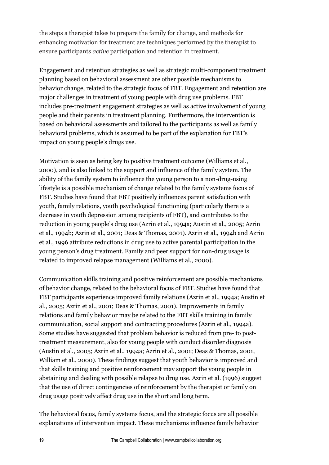the steps a therapist takes to prepare the family for change, and methods for enhancing motivation for treatment are techniques performed by the therapist to ensure participants *active* participation and retention in treatment.

Engagement and retention strategies as well as strategic multi-component treatment planning based on behavioral assessment are other possible mechanisms to behavior change, related to the strategic focus of FBT. Engagement and retention are major challenges in treatment of young people with drug use problems. FBT includes pre-treatment engagement strategies as well as active involvement of young people and their parents in treatment planning. Furthermore, the intervention is based on behavioral assessments and tailored to the participants as well as family behavioral problems, which is assumed to be part of the explanation for FBT's impact on young people's drugs use.

Motivation is seen as being key to positive treatment outcome (Williams et al., 2000), and is also linked to the support and influence of the family system. The ability of the family system to influence the young person to a non-drug-using lifestyle is a possible mechanism of change related to the family systems focus of FBT. Studies have found that FBT positively influences parent satisfaction with youth, family relations, youth psychological functioning (particularly there is a decrease in youth depression among recipients of FBT), and contributes to the reduction in young people's drug use (Azrin et al., 1994a; Austin et al., 2005; Azrin et al., 1994b; Azrin et al., 2001; Deas & Thomas, 2001). Azrin et al., 1994b and Azrin et al., 1996 attribute reductions in drug use to active parental participation in the young person's drug treatment. Family and peer support for non-drug usage is related to improved relapse management (Williams et al., 2000).

Communication skills training and positive reinforcement are possible mechanisms of behavior change, related to the behavioral focus of FBT. Studies have found that FBT participants experience improved family relations (Azrin et al., 1994a; Austin et al., 2005; Azrin et al., 2001; Deas & Thomas, 2001). Improvements in family relations and family behavior may be related to the FBT skills training in family communication, social support and contracting procedures (Azrin et al., 1994a). Some studies have suggested that problem behavior is reduced from pre- to posttreatment measurement, also for young people with conduct disorder diagnosis (Austin et al., 2005; Azrin et al., 1994a; Azrin et al., 2001; Deas & Thomas, 2001, William et al., 2000). These findings suggest that youth behavior is improved and that skills training and positive reinforcement may support the young people in abstaining and dealing with possible relapse to drug use. Azrin et al. (1996) suggest that the use of direct contingencies of reinforcement by the therapist or family on drug usage positively affect drug use in the short and long term.

The behavioral focus, family systems focus, and the strategic focus are all possible explanations of intervention impact. These mechanisms influence family behavior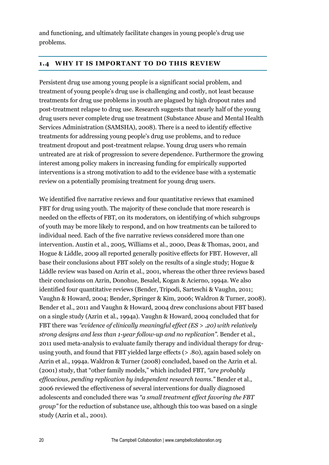and functioning, and ultimately facilitate changes in young people's drug use problems.

#### **1.4 WHY IT IS IMPORTANT TO DO THIS REVIEW**

Persistent drug use among young people is a significant social problem, and treatment of young people's drug use is challenging and costly, not least because treatments for drug use problems in youth are plagued by high dropout rates and post-treatment relapse to drug use. Research suggests that nearly half of the young drug users never complete drug use treatment (Substance Abuse and Mental Health Services Administration (SAMSHA), 2008). There is a need to identify effective treatments for addressing young people's drug use problems, and to reduce treatment dropout and post-treatment relapse. Young drug users who remain untreated are at risk of progression to severe dependence. Furthermore the growing interest among policy makers in increasing funding for empirically supported interventions is a strong motivation to add to the evidence base with a systematic review on a potentially promising treatment for young drug users.

We identified five narrative reviews and four quantitative reviews that examined FBT for drug using youth. The majority of these conclude that more research is needed on the effects of FBT, on its moderators, on identifying of which subgroups of youth may be more likely to respond, and on how treatments can be tailored to individual need. Each of the five narrative reviews considered more than one intervention. Austin et al., 2005, Williams et al., 2000, Deas & Thomas, 2001, and Hogue & Liddle, 2009 all reported generally positive effects for FBT. However, all base their conclusions about FBT solely on the results of a single study; Hogue & Liddle review was based on Azrin et al., 2001, whereas the other three reviews based their conclusions on Azrin, Donohue, Besalel, Kogan & Acierno, 1994a. We also identified four quantitative reviews (Bender, Tripodi, Sarteschi & Vaughn, 2011; Vaughn & Howard, 2004; Bender, Springer & Kim, 2006; Waldron & Turner, 2008). Bender et al., 2011 and Vaughn & Howard, 2004 drew conclusions about FBT based on a single study (Azrin et al., 1994a). Vaughn & Howard, 2004 concluded that for FBT there was *"evidence of clinically meaningful effect (ES > .20) with relatively strong designs and less than 1-year follow-up and no replication".* Bender et al., 2011 used meta-analysis to evaluate family therapy and individual therapy for drugusing youth, and found that FBT yielded large effects (> .80), again based solely on Azrin et al., 1994a. Waldron & Turner (2008) concluded, based on the Azrin et al. (2001) study, that "other family models," which included FBT, *"are probably efficacious, pending replication by independent research teams."* Bender et al., 2006 reviewed the effectiveness of several interventions for dually diagnosed adolescents and concluded there was *"a small treatment effect favoring the FBT group"* for the reduction of substance use, although this too was based on a single study (Azrin et al., 2001).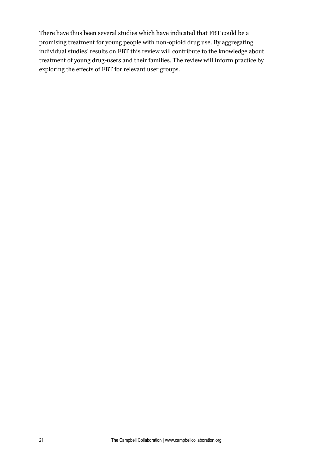There have thus been several studies which have indicated that FBT could be a promising treatment for young people with non-opioid drug use. By aggregating individual studies' results on FBT this review will contribute to the knowledge about treatment of young drug-users and their families. The review will inform practice by exploring the effects of FBT for relevant user groups.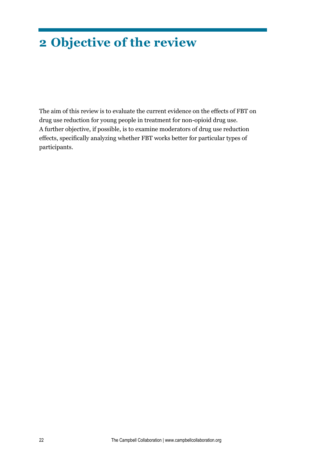## **2 Objective of the review**

The aim of this review is to evaluate the current evidence on the effects of FBT on drug use reduction for young people in treatment for non-opioid drug use. A further objective, if possible, is to examine moderators of drug use reduction effects, specifically analyzing whether FBT works better for particular types of participants.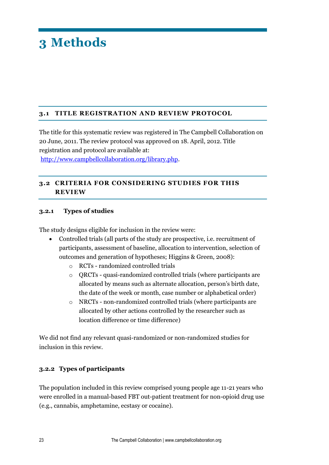## **3.1 TITLE REGISTRATION AND REVIEW PROTOCOL**

The title for this systematic review was registered in The Campbell Collaboration on 20 June, 2011. The review protocol was approved on 18. April, 2012. Title registration and protocol are available at:

[http://www.campbellcollaboration.org/library.php.](http://www.campbellcollaboration.org/library.php)

## **3.2 CRITERIA FOR CONSIDERING STUDIES FOR THIS REVIEW**

#### **3.2.1 Types of studies**

The study designs eligible for inclusion in the review were:

- Controlled trials (all parts of the study are prospective, i.e. recruitment of participants, assessment of baseline, allocation to intervention, selection of outcomes and generation of hypotheses; Higgins & Green, 2008):
	- o RCTs randomized controlled trials
	- o QRCTs quasi-randomized controlled trials (where participants are allocated by means such as alternate allocation, person's birth date, the date of the week or month, case number or alphabetical order)
	- o NRCTs non-randomized controlled trials (where participants are allocated by other actions controlled by the researcher such as location difference or time difference)

We did not find any relevant quasi-randomized or non-randomized studies for inclusion in this review.

#### **3.2.2 Types of participants**

The population included in this review comprised young people age 11-21 years who were enrolled in a manual-based FBT out-patient treatment for non-opioid drug use (e.g., cannabis, amphetamine, ecstasy or cocaine).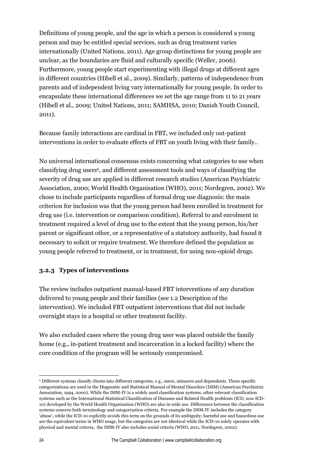Definitions of young people, and the age in which a person is considered a young person and may be entitled special services, such as drug treatment varies internationally (United Nations, 2011). Age group distinctions for young people are unclear, as the boundaries are fluid and culturally specific (Weller, 2006). Furthermore, young people start experimenting with illegal drugs at different ages in different countries (Hibell et al., 2009). Similarly, patterns of independence from parents and of independent living vary internationally for young people. In order to encapsulate these international differences we set the age range from 11 to 21 years (Hibell et al., 2009; United Nations, 2011; SAMHSA, 2010; Danish Youth Council, 2011).

Because family interactions are cardinal in FBT, we included only out-patient interventions in order to evaluate effects of FBT on youth living with their family..

No universal international consensus exists concerning what categories to use when classifying drug users<sup>6</sup>, and different assessment tools and ways of classifying the severity of drug use are applied in different research studies (American Psychiatric Association, 2000; World Health Organisation (WHO), 2011; Nordegren, 2002). We chose to include participants regardless of formal drug use diagnosis: the main criterion for inclusion was that the young person had been enrolled in treatment for drug use (i.e. intervention or comparison condition). Referral to and enrolment in treatment required a level of drug use to the extent that the young person, his/her parent or significant other, or a representative of a statutory authority, had found it necessary to solicit or require treatment. We therefore defined the population as young people referred to treatment, or in treatment, for using non-opioid drugs.

#### **3.2.3 Types of interventions**

The review includes outpatient manual-based FBT interventions of any duration delivered to young people and their families (see 1.2 Description of the intervention). We included FBT outpatient interventions that did not include overnight stays in a hospital or other treatment facility.

We also excluded cases where the young drug user was placed outside the family home (e.g., in-patient treatment and incarceration in a locked facility) where the core condition of the program will be seriously compromised.

**<sup>.</sup>** <sup>6</sup> Different systems classify clients into different categories, e.g., users, misusers and dependents. These specific categorizations are used in the Diagnostic and Statistical Manual of Mental Disorders (DSM) (American Psychiatric Association, 1994, 2000). While the DSM-IV is a widely used classification systems, other relevant classification systems such as the International Statistical Classification of Diseases and Related Health problems (ICD, now ICD-10) developed by the World Health Organisation (WHO) are also in wide use. Differences between the classification systems concern both terminology and categorization criteria. For example the DSM-IV includes the category 'abuse', while the ICD-10 explicitly avoids this term on the grounds of its ambiguity; harmful use and hazardous use are the equivalent terms in WHO usage, but the categories are not identical while the ICD-10 solely operates with physical and mental criteria, the DSM-IV also includes social criteria (WHO, 2011, Nordegren, 2002).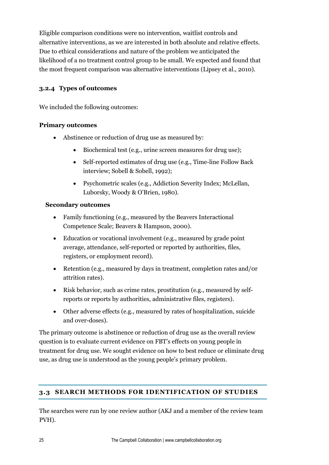Eligible comparison conditions were no intervention, waitlist controls and alternative interventions, as we are interested in both absolute and relative effects. Due to ethical considerations and nature of the problem we anticipated the likelihood of a no treatment control group to be small. We expected and found that the most frequent comparison was alternative interventions (Lipsey et al., 2010).

#### **3.2.4 Types of outcomes**

We included the following outcomes:

#### **Primary outcomes**

- Abstinence or reduction of drug use as measured by:
	- Biochemical test (e.g., urine screen measures for drug use);
	- Self-reported estimates of drug use (e.g., Time-line Follow Back interview; Sobell & Sobell, 1992);
	- Psychometric scales (e.g., Addiction Severity Index; McLellan, Luborsky, Woody & O'Brien, 1980).

#### **Secondary outcomes**

- Family functioning (e.g., measured by the Beavers Interactional Competence Scale; Beavers & Hampson, 2000).
- Education or vocational involvement (e.g., measured by grade point average, attendance, self-reported or reported by authorities, files, registers, or employment record).
- Retention (e.g., measured by days in treatment, completion rates and/0r attrition rates).
- Risk behavior, such as crime rates, prostitution (e.g., measured by selfreports or reports by authorities, administrative files, registers).
- Other adverse effects (e.g., measured by rates of hospitalization, suicide and over-doses).

The primary outcome is abstinence or reduction of drug use as the overall review question is to evaluate current evidence on FBT's effects on young people in treatment for drug use. We sought evidence on how to best reduce or eliminate drug use, as drug use is understood as the young people's primary problem.

## **3.3 SEARCH METHODS FOR IDENTIFICATION OF STUDIES**

The searches were run by one review author (AKJ and a member of the review team PVH).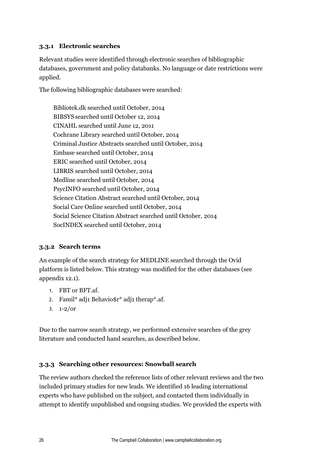#### **3.3.1 Electronic searches**

Relevant studies were identified through electronic searches of bibliographic databases, government and policy databanks. No language or date restrictions were applied.

The following bibliographic databases were searched:

Bibliotek.dk searched until October, 2014 BIBSYS searched until October 12, 2014 CINAHL searched until June 12, 2011 Cochrane Library searched until October, 2014 Criminal Justice Abstracts searched until October, 2014 Embase searched until October, 2014 ERIC searched until October, 2014 LIBRIS searched until October, 2014 Medline searched until October, 2014 PsycINFO searched until October, 2014 Science Citation Abstract searched until October, 2014 Social Care Online searched until October, 2014 Social Science Citation Abstract searched until October, 2014 SocINDEX searched until October, 2014

#### **3.3.2 Search terms**

An example of the search strategy for MEDLINE searched through the Ovid platform is listed below. This strategy was modified for the other databases (see appendix 12.1).

- 1. FBT or BFT.af.
- 2. Famil\* adj1 Behavio\$r\* adj1 therap\*.af.
- 3.  $1 2/$ or

Due to the narrow search strategy, we performed extensive searches of the grey literature and conducted hand searches, as described below.

#### **3.3.3 Searching other resources: Snowball search**

The review authors checked the reference lists of other relevant reviews and the two included primary studies for new leads. We identified 16 leading international experts who have published on the subject, and contacted them individually in attempt to identify unpublished and ongoing studies. We provided the experts with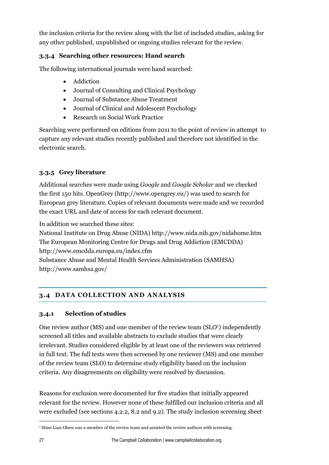the inclusion criteria for the review along with the list of included studies, asking for any other published, unpublished or ongoing studies relevant for the review.

## **3.3.4 Searching other resources: Hand search**

The following international journals were hand searched:

- Addiction
- Journal of Consulting and Clinical Psychology
- Journal of Substance Abuse Treatment
- Journal of Clinical and Adolescent Psychology
- Research on Social Work Practice

Searching were performed on editions from 2011 to the point of review in attempt to capture any relevant studies recently published and therefore not identified in the electronic search.

## **3.3.5 Grey literature**

Additional searches were made using *Google* and *Google Scholar* and we checked the first 150 hits. OpenGrey (http://www.opengrey.eu/) was used to search for European grey literature. Copies of relevant documents were made and we recorded the exact URL and date of access for each relevant document.

In addition we searched these sites:

National Institute on Drug Abuse (NIDA) http://www.nida.nih.gov/nidahome.htm The European Monitoring Centre for Drugs and Drug Addiction (EMCDDA) http://www.emcdda.europa.eu/index.cfm Substance Abuse and Mental Health Services Administration (SAMHSA) http://www.samhsa.gov/

## **3.4 DATA COLLECTION AND ANALYSIS**

## **3.4.1 Selection of studies**

One review author (MS) and one member of the review team (SLO7) independently screened all titles and available abstracts to exclude studies that were clearly irrelevant. Studies considered eligible by at least one of the reviewers was retrieved in full text. The full texts were then screened by one reviewer (MS) and one member of the review team (SLO) to determine study eligibility based on the inclusion criteria. Any disagreements on eligibility were resolved by discussion.

Reasons for exclusion were documented for five studies that initially appeared relevant for the review. However none of these fulfilled our inclusion criteria and all were excluded (see sections 4.2.2, 8.2 and 9.2). The study inclusion screening sheet

 $\overline{a}$ 

<sup>7</sup> Stine Lian Olsen was a member of the review team and assisted the review authors with screening.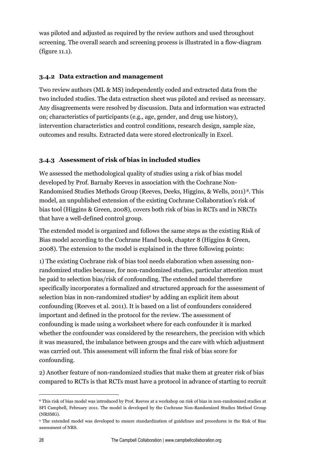was piloted and adjusted as required by the review authors and used throughout screening. The overall search and screening process is illustrated in a flow-diagram (figure 11.1).

#### **3.4.2 Data extraction and management**

Two review authors (ML & MS) independently coded and extracted data from the two included studies. The data extraction sheet was piloted and revised as necessary. Any disagreements were resolved by discussion. Data and information was extracted on; characteristics of participants (e.g., age, gender, and drug use history), intervention characteristics and control conditions, research design, sample size, outcomes and results. Extracted data were stored electronically in Excel.

#### **3.4.3 Assessment of risk of bias in included studies**

We assessed the methodological quality of studies using a risk of bias model developed by Prof. Barnaby Reeves in association with the Cochrane Non-Randomised Studies Methods Group (Reeves, Deeks, Higgins, & Wells, 2011) <sup>8</sup>. This model, an unpublished extension of the existing Cochrane Collaboration's risk of bias tool (Higgins & Green, 2008), covers both risk of bias in RCTs and in NRCTs that have a well-defined control group.

The extended model is organized and follows the same steps as the existing Risk of Bias model according to the Cochrane Hand book, chapter 8 (Higgins & Green, 2008). The extension to the model is explained in the three following points:

1) The existing Cochrane risk of bias tool needs elaboration when assessing nonrandomized studies because, for non-randomized studies, particular attention must be paid to selection bias/risk of confounding. The extended model therefore specifically incorporates a formalized and structured approach for the assessment of selection bias in non-randomized studies<sup>9</sup> by adding an explicit item about confounding (Reeves et al. 2011). It is based on a list of confounders considered important and defined in the protocol for the review. The assessment of confounding is made using a worksheet where for each confounder it is marked whether the confounder was considered by the researchers, the precision with which it was measured, the imbalance between groups and the care with which adjustment was carried out. This assessment will inform the final risk of bias score for confounding.

2) Another feature of non-randomized studies that make them at greater risk of bias compared to RCTs is that RCTs must have a protocol in advance of starting to recruit

 $\overline{a}$ 

<sup>8</sup> This risk of bias model was introduced by Prof. Reeves at a workshop on risk of bias in non-randomized studies at SFI Campbell, February 2011. The model is developed by the Cochrane Non-Randomized Studies Method Group (NRSMG).

<sup>9</sup> The extended model was developed to ensure standardization of guidelines and procedures in the Risk of Bias assessment of NRS.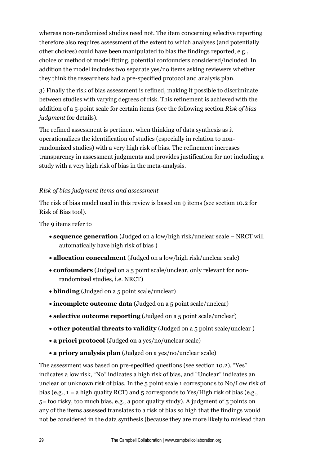whereas non-randomized studies need not. The item concerning selective reporting therefore also requires assessment of the extent to which analyses (and potentially other choices) could have been manipulated to bias the findings reported, e.g., choice of method of model fitting, potential confounders considered/included. In addition the model includes two separate yes/no items asking reviewers whether they think the researchers had a pre-specified protocol and analysis plan.

3) Finally the risk of bias assessment is refined, making it possible to discriminate between studies with varying degrees of risk. This refinement is achieved with the addition of a 5-point scale for certain items (see the following section *Risk of bias judgment* for details).

The refined assessment is pertinent when thinking of data synthesis as it operationalizes the identification of studies (especially in relation to nonrandomized studies) with a very high risk of bias. The refinement increases transparency in assessment judgments and provides justification for not including a study with a very high risk of bias in the meta-analysis.

#### *Risk of bias judgment items and assessment*

The risk of bias model used in this review is based on 9 items (see section 10.2 for Risk of Bias tool).

The 9 items refer to

- **sequence generation** (Judged on a low/high risk/unclear scale NRCT will automatically have high risk of bias )
- **allocation concealment** (Judged on a low/high risk/unclear scale)
- **confounders** (Judged on a 5 point scale/unclear, only relevant for nonrandomized studies, i.e. NRCT)
- **blinding** (Judged on a 5 point scale/unclear)
- **incomplete outcome data** (Judged on a 5 point scale/unclear)
- **selective outcome reporting** (Judged on a 5 point scale/unclear)
- **other potential threats to validity** (Judged on a 5 point scale/unclear )
- **a priori protocol** (Judged on a yes/no/unclear scale)
- **a priory analysis plan** (Judged on a yes/no/unclear scale)

The assessment was based on pre-specified questions (see section 10.2). "Yes" indicates a low risk, "No" indicates a high risk of bias, and "Unclear" indicates an unclear or unknown risk of bias. In the 5 point scale 1 corresponds to No/Low risk of bias (e.g., 1 = a high quality RCT) and 5 corresponds to Yes/High risk of bias (e.g., 5= too risky, too much bias, e.g., a poor quality study). A judgment of 5 points on any of the items assessed translates to a risk of bias so high that the findings would not be considered in the data synthesis (because they are more likely to mislead than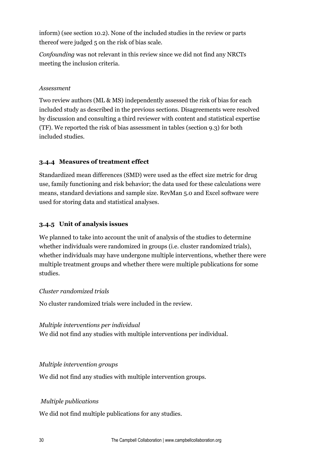inform) (see section 10.2). None of the included studies in the review or parts thereof were judged 5 on the risk of bias scale.

*Confounding* was not relevant in this review since we did not find any NRCTs meeting the inclusion criteria.

#### *Assessment*

Two review authors (ML & MS) independently assessed the risk of bias for each included study as described in the previous sections. Disagreements were resolved by discussion and consulting a third reviewer with content and statistical expertise (TF). We reported the risk of bias assessment in tables (section 9.3) for both included studies.

#### **3.4.4 Measures of treatment effect**

Standardized mean differences (SMD) were used as the effect size metric for drug use, family functioning and risk behavior; the data used for these calculations were means, standard deviations and sample size. RevMan 5.0 and Excel software were used for storing data and statistical analyses.

#### **3.4.5 Unit of analysis issues**

We planned to take into account the unit of analysis of the studies to determine whether individuals were randomized in groups (i.e. cluster randomized trials), whether individuals may have undergone multiple interventions, whether there were multiple treatment groups and whether there were multiple publications for some studies.

#### *Cluster randomized trials*

No cluster randomized trials were included in the review.

*Multiple interventions per individual*  We did not find any studies with multiple interventions per individual.

#### *Multiple intervention groups*

We did not find any studies with multiple intervention groups.

#### *Multiple publications*

We did not find multiple publications for any studies.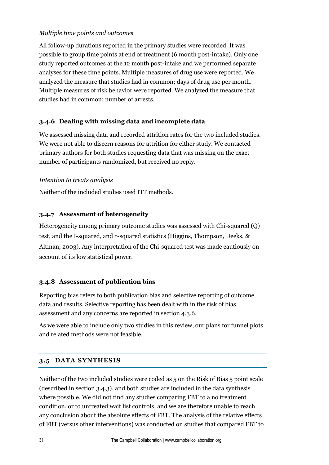#### *Multiple time points and outcomes*

All follow-up durations reported in the primary studies were recorded. It was possible to group time points at end of treatment (6 month post-intake). Only one study reported outcomes at the 12 month post-intake and we performed separate analyses for these time points. Multiple measures of drug use were reported. We analyzed the measure that studies had in common; days of drug use per month. Multiple measures of risk behavior were reported. We analyzed the measure that studies had in common; number of arrests.

#### **3.4.6 Dealing with missing data and incomplete data**

We assessed missing data and recorded attrition rates for the two included studies. We were not able to discern reasons for attrition for either study. We contacted primary authors for both studies requesting data that was missing on the exact number of participants randomized, but received no reply.

#### *Intention to treats analysis*

Neither of the included studies used ITT methods.

#### **3.4.7 Assessment of heterogeneity**

Heterogeneity among primary outcome studies was assessed with Chi-squared (Q) test, and the I-squared, and τ-squared statistics (Higgins, Thompson, Deeks, & Altman, 2003). Any interpretation of the Chi-squared test was made cautiously on account of its low statistical power.

#### **3.4.8 Assessment of publication bias**

Reporting bias refers to both publication bias and selective reporting of outcome data and results. Selective reporting has been dealt with in the risk of bias assessment and any concerns are reported in section 4.3.6.

As we were able to include only two studies in this review, our plans for funnel plots and related methods were not feasible.

## **3.5 DATA SYNTHESIS**

Neither of the two included studies were coded as 5 on the Risk of Bias 5 point scale (described in section 3.4.3), and both studies are included in the data synthesis where possible. We did not find any studies comparing FBT to a no treatment condition, or to untreated wait list controls, and we are therefore unable to reach any conclusion about the absolute effects of FBT. The analysis of the relative effects of FBT (versus other interventions) was conducted on studies that compared FBT to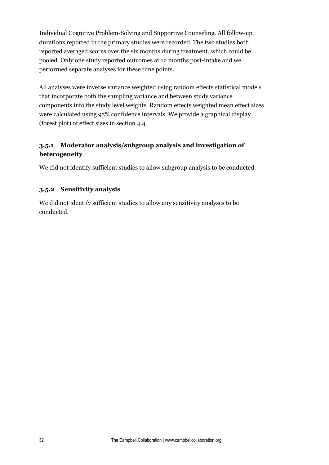Individual Cognitive Problem-Solving and Supportive Counseling. All follow-up durations reported in the primary studies were recorded. The two studies both reported averaged scores over the six months during treatment, which could be pooled. Only one study reported outcomes at 12 months post-intake and we performed separate analyses for these time points.

All analyses were inverse variance weighted using random effects statistical models that incorporate both the sampling variance and between study variance components into the study level weights. Random effects weighted mean effect sizes were calculated using 95% confidence intervals. We provide a graphical display (forest plot) of effect sizes in section 4.4.

## **3.5.1 Moderator analysis/subgroup analysis and investigation of heterogeneity**

We did not identify sufficient studies to allow subgroup analysis to be conducted.

#### **3.5.2 Sensitivity analysis**

We did not identify sufficient studies to allow any sensitivity analyses to be conducted.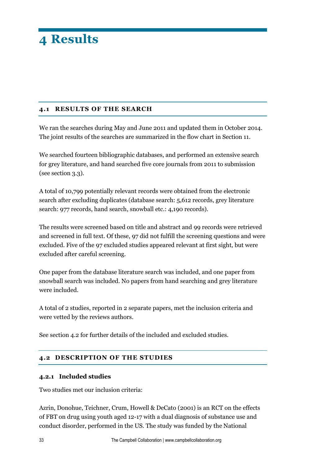#### **4.1 RESULTS OF THE SEARCH**

We ran the searches during May and June 2011 and updated them in October 2014. The joint results of the searches are summarized in the flow chart in Section 11.

We searched fourteen bibliographic databases, and performed an extensive search for grey literature, and hand searched five core journals from 2011 to submission (see section 3.3).

A total of 10,799 potentially relevant records were obtained from the electronic search after excluding duplicates (database search: 5,612 records, grey literature search: 977 records, hand search, snowball etc.: 4,190 records).

The results were screened based on title and abstract and 99 records were retrieved and screened in full text. Of these, 97 did not fulfill the screening questions and were excluded. Five of the 97 excluded studies appeared relevant at first sight, but were excluded after careful screening.

One paper from the database literature search was included, and one paper from snowball search was included. No papers from hand searching and grey literature were included.

A total of 2 studies, reported in 2 separate papers, met the inclusion criteria and were vetted by the reviews authors.

See section 4.2 for further details of the included and excluded studies.

## **4.2 DESCRIPTION OF THE STUDIES**

#### **4.2.1 Included studies**

Two studies met our inclusion criteria:

Azrin, Donohue, Teichner, Crum, Howell & DeCato (2001) is an RCT on the effects of FBT on drug using youth aged 12-17 with a dual diagnosis of substance use and conduct disorder, performed in the US. The study was funded by the National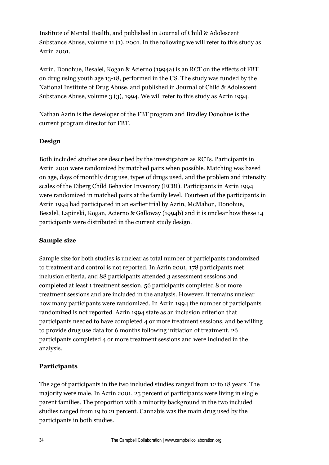Institute of Mental Health, and published in Journal of Child & Adolescent Substance Abuse, volume 11 (1), 2001. In the following we will refer to this study as Azrin 2001.

Azrin, Donohue, Besalel, Kogan & Acierno (1994a) is an RCT on the effects of FBT on drug using youth age 13-18, performed in the US. The study was funded by the National Institute of Drug Abuse, and published in Journal of Child & Adolescent Substance Abuse, volume 3 (3), 1994. We will refer to this study as Azrin 1994.

Nathan Azrin is the developer of the FBT program and Bradley Donohue is the current program director for FBT.

## **Design**

Both included studies are described by the investigators as RCTs. Participants in Azrin 2001 were randomized by matched pairs when possible. Matching was based on age, days of monthly drug use, types of drugs used, and the problem and intensity scales of the Eiberg Child Behavior Inventory (ECBI). Participants in Azrin 1994 were randomized in matched pairs at the family level. Fourteen of the participants in Azrin 1994 had participated in an earlier trial by Azrin, McMahon, Donohue, Besalel, Lapinski, Kogan, Acierno & Galloway (1994b) and it is unclear how these 14 participants were distributed in the current study design.

## **Sample size**

Sample size for both studies is unclear as total number of participants randomized to treatment and control is not reported. In Azrin 2001, 178 participants met inclusion criteria, and 88 participants attended 3 assessment sessions and completed at least 1 treatment session. 56 participants completed 8 or more treatment sessions and are included in the analysis. However, it remains unclear how many participants were randomized. In Azrin 1994 the number of participants randomized is not reported. Azrin 1994 state as an inclusion criterion that participants needed to have completed 4 or more treatment sessions, and be willing to provide drug use data for 6 months following initiation of treatment. 26 participants completed 4 or more treatment sessions and were included in the analysis.

## **Participants**

The age of participants in the two included studies ranged from 12 to 18 years. The majority were male. In Azrin 2001, 25 percent of participants were living in single parent families. The proportion with a minority background in the two included studies ranged from 19 to 21 percent. Cannabis was the main drug used by the participants in both studies.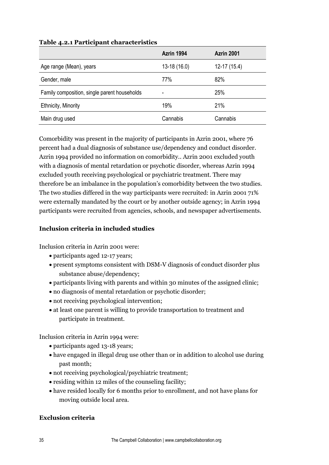|                                              | Azrin 1994    | <b>Azrin 2001</b> |
|----------------------------------------------|---------------|-------------------|
| Age range (Mean), years                      | $13-18(16.0)$ | $12-17(15.4)$     |
| Gender, male                                 | 77%           | 82%               |
| Family composition, single parent households |               | 25%               |
| <b>Ethnicity, Minority</b>                   | 19%           | <b>21%</b>        |
| Main drug used                               | Cannabis      | Cannabis          |

#### **Table 4.2.1 Participant characteristics**

Comorbidity was present in the majority of participants in Azrin 2001, where 76 percent had a dual diagnosis of substance use/dependency and conduct disorder. Azrin 1994 provided no information on comorbidity.. Azrin 2001 excluded youth with a diagnosis of mental retardation or psychotic disorder, whereas Azrin 1994 excluded youth receiving psychological or psychiatric treatment. There may therefore be an imbalance in the population's comorbidity between the two studies. The two studies differed in the way participants were recruited: in Azrin 2001 71% were externally mandated by the court or by another outside agency; in Azrin 1994 participants were recruited from agencies, schools, and newspaper advertisements.

#### **Inclusion criteria in included studies**

Inclusion criteria in Azrin 2001 were:

- participants aged 12-17 years;
- present symptoms consistent with DSM-V diagnosis of conduct disorder plus substance abuse/dependency;
- participants living with parents and within 30 minutes of the assigned clinic;
- no diagnosis of mental retardation or psychotic disorder;
- not receiving psychological intervention;
- at least one parent is willing to provide transportation to treatment and participate in treatment.

Inclusion criteria in Azrin 1994 were:

- participants aged 13-18 years;
- have engaged in illegal drug use other than or in addition to alcohol use during past month;
- not receiving psychological/psychiatric treatment;
- residing within 12 miles of the counseling facility;
- have resided locally for 6 months prior to enrollment, and not have plans for moving outside local area.

#### **Exclusion criteria**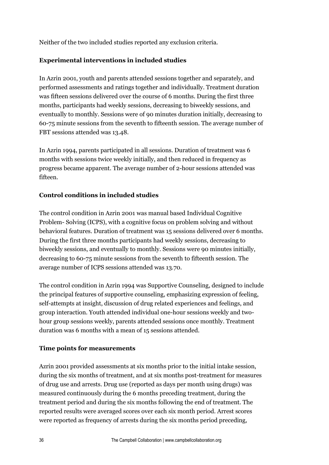Neither of the two included studies reported any exclusion criteria.

#### **Experimental interventions in included studies**

In Azrin 2001, youth and parents attended sessions together and separately, and performed assessments and ratings together and individually. Treatment duration was fifteen sessions delivered over the course of 6 months. During the first three months, participants had weekly sessions, decreasing to biweekly sessions, and eventually to monthly. Sessions were of 90 minutes duration initially, decreasing to 60-75 minute sessions from the seventh to fifteenth session. The average number of FBT sessions attended was 13.48.

In Azrin 1994, parents participated in all sessions. Duration of treatment was 6 months with sessions twice weekly initially, and then reduced in frequency as progress became apparent. The average number of 2-hour sessions attended was fifteen.

#### **Control conditions in included studies**

The control condition in Azrin 2001 was manual based Individual Cognitive Problem- Solving (ICPS), with a cognitive focus on problem solving and without behavioral features. Duration of treatment was 15 sessions delivered over 6 months. During the first three months participants had weekly sessions, decreasing to biweekly sessions, and eventually to monthly. Sessions were 90 minutes initially, decreasing to 60-75 minute sessions from the seventh to fifteenth session. The average number of ICPS sessions attended was 13.70.

The control condition in Azrin 1994 was Supportive Counseling, designed to include the principal features of supportive counseling, emphasizing expression of feeling, self-attempts at insight, discussion of drug related experiences and feelings, and group interaction. Youth attended individual one-hour sessions weekly and twohour group sessions weekly, parents attended sessions once monthly. Treatment duration was 6 months with a mean of 15 sessions attended.

#### **Time points for measurements**

Azrin 2001 provided assessments at six months prior to the initial intake session, during the six months of treatment, and at six months post-treatment for measures of drug use and arrests. Drug use (reported as days per month using drugs) was measured continuously during the 6 months preceding treatment, during the treatment period and during the six months following the end of treatment. The reported results were averaged scores over each six month period. Arrest scores were reported as frequency of arrests during the six months period preceding,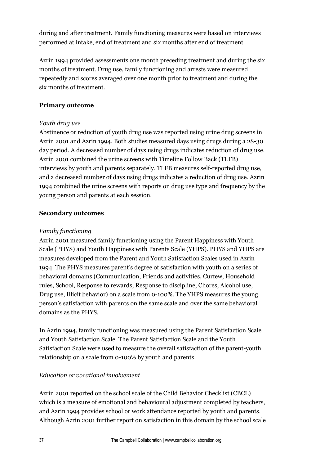during and after treatment. Family functioning measures were based on interviews performed at intake, end of treatment and six months after end of treatment.

Azrin 1994 provided assessments one month preceding treatment and during the six months of treatment. Drug use, family functioning and arrests were measured repeatedly and scores averaged over one month prior to treatment and during the six months of treatment.

#### **Primary outcome**

#### *Youth drug use*

Abstinence or reduction of youth drug use was reported using urine drug screens in Azrin 2001 and Azrin 1994. Both studies measured days using drugs during a 28-30 day period. A decreased number of days using drugs indicates reduction of drug use. Azrin 2001 combined the urine screens with Timeline Follow Back (TLFB) interviews by youth and parents separately. TLFB measures self-reported drug use, and a decreased number of days using drugs indicates a reduction of drug use. Azrin 1994 combined the urine screens with reports on drug use type and frequency by the young person and parents at each session.

#### **Secondary outcomes**

#### *Family functioning*

Azrin 2001 measured family functioning using the Parent Happiness with Youth Scale (PHYS) and Youth Happiness with Parents Scale (YHPS). PHYS and YHPS are measures developed from the Parent and Youth Satisfaction Scales used in Azrin 1994. The PHYS measures parent's degree of satisfaction with youth on a series of behavioral domains (Communication, Friends and activities, Curfew, Household rules, School, Response to rewards, Response to discipline, Chores, Alcohol use, Drug use, Illicit behavior) on a scale from 0-100%. The YHPS measures the young person's satisfaction with parents on the same scale and over the same behavioral domains as the PHYS.

In Azrin 1994, family functioning was measured using the Parent Satisfaction Scale and Youth Satisfaction Scale. The Parent Satisfaction Scale and the Youth Satisfaction Scale were used to measure the overall satisfaction of the parent-youth relationship on a scale from 0-100% by youth and parents.

#### *Education or vocational involvement*

Azrin 2001 reported on the school scale of the Child Behavior Checklist (CBCL) which is a measure of emotional and behavioural adjustment completed by teachers, and Azrin 1994 provides school or work attendance reported by youth and parents. Although Azrin 2001 further report on satisfaction in this domain by the school scale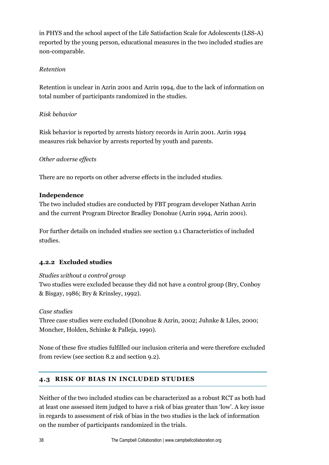in PHYS and the school aspect of the Life Satisfaction Scale for Adolescents (LSS-A) reported by the young person, educational measures in the two included studies are non-comparable.

#### *Retention*

Retention is unclear in Azrin 2001 and Azrin 1994, due to the lack of information on total number of participants randomized in the studies.

#### *Risk behavior*

Risk behavior is reported by arrests history records in Azrin 2001. Azrin 1994 measures risk behavior by arrests reported by youth and parents.

#### *Other adverse effects*

There are no reports on other adverse effects in the included studies.

#### **Independence**

The two included studies are conducted by FBT program developer Nathan Azrin and the current Program Director Bradley Donohue (Azrin 1994, Azrin 2001).

For further details on included studies see section 9.1 Characteristics of included studies.

# **4.2.2 Excluded studies**

#### *Studies without a control group*

Two studies were excluded because they did not have a control group (Bry, Conboy & Bisgay, 1986; Bry & Krinsley, 1992).

#### *Case studies*

Three case studies were excluded (Donohue & Azrin, 2002; Juhnke & Liles, 2000; Moncher, Holden, Schinke & Palleja, 1990).

None of these five studies fulfilled our inclusion criteria and were therefore excluded from review (see section 8.2 and section 9.2).

# **4.3 RISK OF BIAS IN INCLUDED STUDIES**

Neither of the two included studies can be characterized as a robust RCT as both had at least one assessed item judged to have a risk of bias greater than 'low'. A key issue in regards to assessment of risk of bias in the two studies is the lack of information on the number of participants randomized in the trials.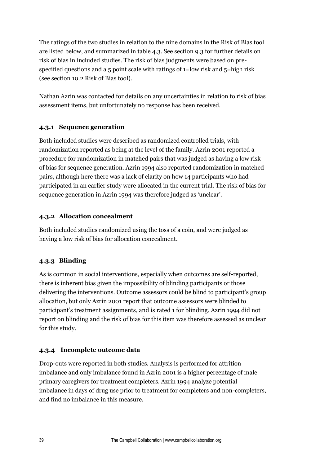The ratings of the two studies in relation to the nine domains in the Risk of Bias tool are listed below, and summarized in table 4.3. See section 9.3 for further details on risk of bias in included studies. The risk of bias judgments were based on prespecified questions and a 5 point scale with ratings of 1=low risk and 5=high risk (see section 10.2 Risk of Bias tool).

Nathan Azrin was contacted for details on any uncertainties in relation to risk of bias assessment items, but unfortunately no response has been received.

#### **4.3.1 Sequence generation**

Both included studies were described as randomized controlled trials, with randomization reported as being at the level of the family. Azrin 2001 reported a procedure for randomization in matched pairs that was judged as having a low risk of bias for sequence generation. Azrin 1994 also reported randomization in matched pairs, although here there was a lack of clarity on how 14 participants who had participated in an earlier study were allocated in the current trial. The risk of bias for sequence generation in Azrin 1994 was therefore judged as 'unclear'.

#### **4.3.2 Allocation concealment**

Both included studies randomized using the toss of a coin, and were judged as having a low risk of bias for allocation concealment.

# **4.3.3 Blinding**

As is common in social interventions, especially when outcomes are self-reported, there is inherent bias given the impossibility of blinding participants or those delivering the interventions. Outcome assessors could be blind to participant's group allocation, but only Azrin 2001 report that outcome assessors were blinded to participant's treatment assignments, and is rated 1 for blinding. Azrin 1994 did not report on blinding and the risk of bias for this item was therefore assessed as unclear for this study.

# **4.3.4 Incomplete outcome data**

Drop-outs were reported in both studies. Analysis is performed for attrition imbalance and only imbalance found in Azrin 2001 is a higher percentage of male primary caregivers for treatment completers. Azrin 1994 analyze potential imbalance in days of drug use prior to treatment for completers and non-completers, and find no imbalance in this measure.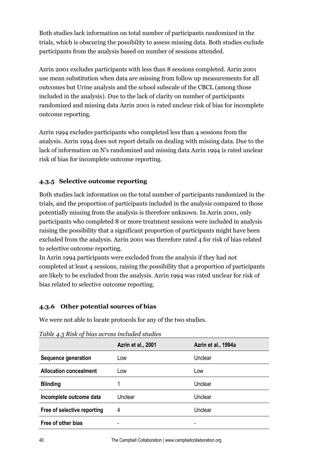Both studies lack information on total number of participants randomized in the trials, which is obscuring the possibility to assess missing data. Both studies exclude participants from the analysis based on number of sessions attended.

Azrin 2001 excludes participants with less than 8 sessions completed. Azrin 2001 use mean substitution when data are missing from follow up measurements for all outcomes but Urine analysis and the school subscale of the CBCL (among those included in the analysis). Due to the lack of clarity on number of participants randomized and missing data Azrin 2001 is rated unclear risk of bias for incomplete outcome reporting.

Azrin 1994 excludes participants who completed less than 4 sessions from the analysis. Azrin 1994 does not report details on dealing with missing data. Due to the lack of information on N's randomized and missing data Azrin 1994 is rated unclear risk of bias for incomplete outcome reporting.

# **4.3.5 Selective outcome reporting**

Both studies lack information on the total number of participants randomized in the trials, and the proportion of participants included in the analysis compared to those potentially missing from the analysis is therefore unknown. In Azrin 2001, only participants who completed 8 or more treatment sessions were included in analysis raising the possibility that a significant proportion of participants might have been excluded from the analysis. Azrin 2001 was therefore rated 4 for risk of bias related to selective outcome reporting.

In Azrin 1994 participants were excluded from the analysis if they had not completed at least 4 sessions, raising the possibility that a proportion of participants are likely to be excluded from the analysis. Azrin 1994 was rated unclear for risk of bias related to selective outcome reporting.

# **4.3.6 Other potential sources of bias**

We were not able to locate protocols for any of the two studies.

|                               | Azrin et al., 2001 | Azrin et al., 1994a |
|-------------------------------|--------------------|---------------------|
| Sequence generation           | Low                | Unclear             |
| <b>Allocation concealment</b> | Low                | Low                 |
| <b>Blinding</b>               |                    | Unclear             |
| Incomplete outcome data       | Unclear            | Unclear             |
| Free of selective reporting   | 4                  | Unclear             |
| Free of other bias            |                    |                     |

*Table 4.3 Risk of bias across included studies*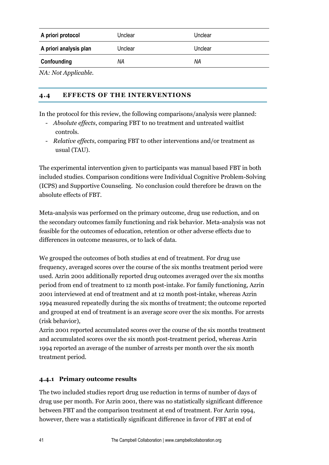| A priori protocol      | Unclear | Unclear |  |
|------------------------|---------|---------|--|
| A priori analysis plan | Unclear | Unclear |  |
| Confounding            | ΝA      | ΝA      |  |
| _______                |         |         |  |

*NA: Not Applicable.* 

#### **4.4 EFFECTS OF THE INTERVENTIONS**

In the protocol for this review, the following comparisons/analysis were planned:

- *Absolute effects*, comparing FBT to no treatment and untreated waitlist controls.
- *Relative effects*, comparing FBT to other interventions and/or treatment as usual (TAU).

The experimental intervention given to participants was manual based FBT in both included studies. Comparison conditions were Individual Cognitive Problem-Solving (ICPS) and Supportive Counseling. No conclusion could therefore be drawn on the absolute effects of FBT.

Meta-analysis was performed on the primary outcome, drug use reduction, and on the secondary outcomes family functioning and risk behavior. Meta-analysis was not feasible for the outcomes of education, retention or other adverse effects due to differences in outcome measures, or to lack of data.

We grouped the outcomes of both studies at end of treatment. For drug use frequency, averaged scores over the course of the six months treatment period were used. Azrin 2001 additionally reported drug outcomes averaged over the six months period from end of treatment to 12 month post-intake. For family functioning, Azrin 2001 interviewed at end of treatment and at 12 month post-intake, whereas Azrin 1994 measured repeatedly during the six months of treatment; the outcome reported and grouped at end of treatment is an average score over the six months. For arrests (risk behavior),

Azrin 2001 reported accumulated scores over the course of the six months treatment and accumulated scores over the six month post-treatment period, whereas Azrin 1994 reported an average of the number of arrests per month over the six month treatment period.

#### **4.4.1 Primary outcome results**

The two included studies report drug use reduction in terms of number of days of drug use per month. For Azrin 2001, there was no statistically significant difference between FBT and the comparison treatment at end of treatment. For Azrin 1994, however, there was a statistically significant difference in favor of FBT at end of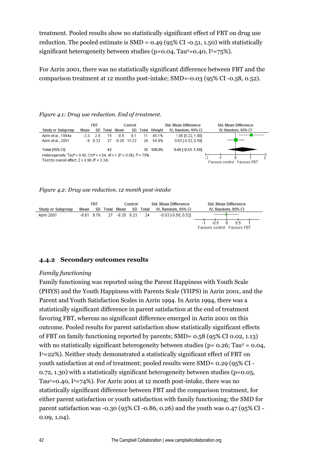treatment. Pooled results show no statistically significant effect of FBT on drug use reduction. The pooled estimate is  $SMD = 0.49$  (95% CI-0.51, 1.50) with statistically significant heterogeneity between studies (p=0.04, Tau<sup>2</sup>=0.40, I<sup>2</sup>=75%).

For Azrin 2001, there was no statistically significant difference between FBT and the comparison treatment at 12 months post-intake; SMD=-0.03 (95% CI -0.58, 0.52).

#### **FBT** Control **Std. Mean Difference Std. Mean Difference Study or Subgroup** Mean SD Total Mean **SD Total Weight** IV, Random, 95% CI IV, Random, 95% CI Azrin et al., 1994a 2.9 15  $-8.5$ 45.1% 1.06 [0.22, 1.90]  $-2.3$ 8.1 11 Azrin et al., 2001  $-9$  8.33 27  $-9.28$  10.23 24 54.9%  $0.03$  [-0.52, 0.58] **Total (95% CI)** 35 100.0% 0.49 [-0.51, 1.50] 42 Heterogeneity: Tau<sup>2</sup> = 0.40; Chi<sup>2</sup> = 4.04, df = 1 (P = 0.04); i<sup>2</sup> = 75% 10 ń. Test for overall effect:  $Z = 0.96$  (P = 0.34) **Eavours control Eavours EBT**

#### *Figure 4.1: Drug use reduction. End of treatment.*

*Figure 4.2: Drug use reduction. 12 month post-intake*



#### **4.4.2 Secondary outcomes results**

#### *Family functioning*

Family functioning was reported using the Parent Happiness with Youth Scale (PHYS) and the Youth Happiness with Parents Scale (YHPS) in Azrin 2001, and the Parent and Youth Satisfaction Scales in Azrin 1994. In Azrin 1994, there was a statistically significant difference in parent satisfaction at the end of treatment favoring FBT, whereas no significant difference emerged in Azrin 2001 on this outcome. Pooled results for parent satisfaction show statistically significant effects of FBT on family functioning reported by parents; SMD= 0.58 (95% CI 0.02, 1.13) with no statistically significant heterogeneity between studies ( $p = 0.26$ ; Tau<sup>2</sup> = 0.04, I <sup>2</sup>=22%). Neither study demonstrated a statistically significant effect of FBT on youth satisfaction at end of treatment; pooled results were SMD= 0.29 (95% CI - 0.72, 1.30) with a statistically significant heterogeneity between studies (p=0.05, Tau<sup>2</sup>=0.40, I<sup>2</sup>=74%). For Azrin 2001 at 12 month post-intake, there was no statistically significant difference between FBT and the comparison treatment, for either parent satisfaction or youth satisfaction with family functioning; the SMD for parent satisfaction was -0.30 (95% CI -0.86, 0.26) and the youth was 0.47 (95% CI - 0.09, 1.04).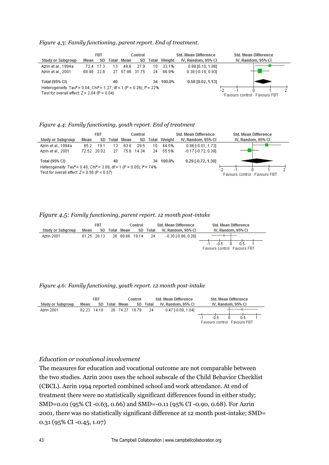*Figure 4.3: Family functioning, parent report. End of treatment.*

|                                                                                                                                                  |            | Control<br><b>FBT</b> |    |                   |      |       | <b>Std. Mean Difference</b><br><b>Std. Mean Difference</b> |                           |                             |
|--------------------------------------------------------------------------------------------------------------------------------------------------|------------|-----------------------|----|-------------------|------|-------|------------------------------------------------------------|---------------------------|-----------------------------|
| <b>Study or Subgroup</b>                                                                                                                         | Mean       | SD                    |    | <b>Total Mean</b> | SD   | Total | Weight                                                     | IV. Random, 95% CI        | IV. Random, 95% CI          |
| Azrin et al., 1994a                                                                                                                              | 724        | -17.3                 |    | 49.6              | 27.9 | 10    | 33.1%                                                      | $0.98$ [0.10, 1.86]       |                             |
| Azrin et al., 2001                                                                                                                               | 68.48 22.8 |                       |    | 27 57.96 31.75    |      | 24    | 66.9%                                                      | $0.38$ F $0.18$ , $0.931$ |                             |
| <b>Total (95% CI)</b>                                                                                                                            |            |                       | 40 |                   |      | 34    | 100.0%                                                     | $0.58$ [0.02, 1.13]       |                             |
| Heterogeneity: Tau <sup>2</sup> = 0.04; Chi <sup>2</sup> = 1.27, df = 1 (P = 0.26); $P = 22\%$<br>Test for overall effect: $Z = 2.04$ (P = 0.04) |            |                       |    |                   |      |       |                                                            |                           | Favours control Favours FBT |

#### *Figure 4.4: Family functioning, youth report. End of treatment*

|                                                                                                |      | <b>FBT</b><br><b>Control</b> |       |      |            |    |                     | <b>Std. Mean Difference</b> | <b>Std. Mean Difference</b> |
|------------------------------------------------------------------------------------------------|------|------------------------------|-------|------|------------|----|---------------------|-----------------------------|-----------------------------|
| <b>Study or Subgroup</b>                                                                       | Mean | SD.                          | Total | Mean | SD.        |    | <b>Total Weight</b> | IV, Random, 95% CI          | IV, Random, 95% CI          |
| Azrin et al., 1994a                                                                            | 85.2 | 19.1                         | 13    | 63.6 | 29.5       | 10 | 44.5%               | $0.86$ [-0.01, 1.73]        |                             |
| Azrin et al., 2001                                                                             |      | 72.52 20.02                  | 27    |      | 75.6 14.34 | 24 | 55.5%               | $-0.17$ $[-0.72, 0.38]$     |                             |
| <b>Total (95% CI)</b>                                                                          |      |                              | 40    |      |            |    | 34 100.0%           | $0.29$ [-0.72, 1.30]        |                             |
| Heterogeneity: Tau <sup>2</sup> = 0.40; Chi <sup>2</sup> = 3.89, df = 1 (P = 0.05); $P = 74\%$ |      |                              |       |      |            |    |                     |                             |                             |
| Test for overall effect: $Z = 0.56$ (P = 0.57)                                                 |      |                              |       |      |            |    |                     |                             | Favours control Favours FBT |

#### *Figure 4.5: Family functioning, parent report. 12 month post-intake*

|                          | <b>FBT</b>  |  |  | Control        |  |          | <b>Std. Mean Difference</b> | <b>Std. Mean Difference</b>                           |
|--------------------------|-------------|--|--|----------------|--|----------|-----------------------------|-------------------------------------------------------|
| <b>Study or Subgroup</b> | Mean        |  |  | SD Total Mean  |  | SD Total | IV. Random, 95% CI          | IV. Random, 95% CI                                    |
| Azrin 2001               | 61.25 28.13 |  |  | 26 68.66 19.14 |  | -24      | $-0.30$ $-0.86$ , $0.261$   |                                                       |
|                          |             |  |  |                |  |          |                             | ന്ടെ സ<br>-0.5.<br><b>Favours control Favours FBT</b> |

*Figure 4.6: Family functioning, youth report. 12 month post-intake*

|                          | <b>FBT</b> |             |  | Control           |  |          | <b>Std. Mean Difference</b> | <b>Std. Mean Difference</b>           |  |  |
|--------------------------|------------|-------------|--|-------------------|--|----------|-----------------------------|---------------------------------------|--|--|
| <b>Study or Subgroup</b> | Mean       |             |  | SD Total Mean     |  | SD Total | IV, Random, 95% CI          | IV, Random, 95% CI                    |  |  |
| Azrin 2001               |            | 82.23 14.18 |  | 26 74.27 18.79 24 |  |          | $0.47$ F0.09, 1.04]         |                                       |  |  |
|                          |            |             |  |                   |  |          |                             |                                       |  |  |
|                          |            |             |  |                   |  |          |                             | Favours control<br><b>Favours FBT</b> |  |  |

#### *Education or vocational involvement*

The measures for education and vocational outcome are not comparable between the two studies. Azrin 2001 uses the school subscale of the Child Behavior Checklist (CBCL). Azrin 1994 reported combined school and work attendance. At end of treatment there were no statistically significant differences found in either study; SMD=0.01 (95% CI -0.63, 0.66) and SMD=-0.11 (95% CI -0.90, 0.68). For Azrin 2001, there was no statistically significant difference at 12 month post-intake; SMD= 0.31 (95% CI -0.45, 1.07)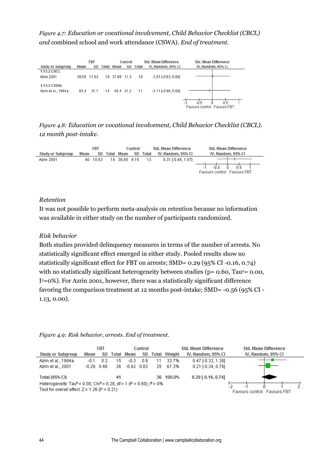*Figure 4.7: Education or vocational involvement, Child Behavior Checklist (CBCL) and* combined school and work attendance (CSWA)*. End of treatment.*

|                                           |      | <b>FBT</b>  |    |                   | Control |              | <b>Std. Mean Difference</b> | <b>Std. Mean Difference</b>                       |
|-------------------------------------------|------|-------------|----|-------------------|---------|--------------|-----------------------------|---------------------------------------------------|
| <b>Study or Subgroup</b>                  | Mean | SD.         |    | <b>Total Mean</b> | SD.     | <b>Total</b> | IV, Random, 95% CI          | IV, Random, 95% CI                                |
| <b>1.13.2 CBCL</b>                        |      |             |    |                   |         |              |                             |                                                   |
| Azrin 2001                                |      | 38.05 11.02 |    | 19 37.89 11.3     |         | 18           | $0.01$ $F0.63, 0.661$       |                                                   |
| <b>1.13.3 CSWA</b><br>Azrin et al., 1994a | 65.4 | 31.1        | 14 | 68.4 21.2         |         | -11          | $-0.11$ $[-0.90, 0.68]$     |                                                   |
|                                           |      |             |    |                   |         |              |                             | -0.5<br>0.5<br><b>Favours control Favours FBT</b> |

*Figure 4.8: Education or vocational involvement, Child Behavior Checklist (CBCL). 12 month post-intake.*

|                          | <b>FBT</b> |          |  | Control       |     |       | <b>Std. Mean Difference</b> | <b>Std. Mean Difference</b>        |       |
|--------------------------|------------|----------|--|---------------|-----|-------|-----------------------------|------------------------------------|-------|
| <b>Study or Subgroup</b> | Mean       |          |  | SD Total Mean | SD. | Total | IV. Random. 95% CI          | IV, Random, 95% CI                 |       |
| Azrin 2001               |            | 40 10.63 |  | 14 36.85 9.15 |     | - 13  | $0.31$ [-0.45, 1.07]        |                                    | - ດີຣ |
|                          |            |          |  |               |     |       |                             | <b>Favours control Favours FBT</b> |       |

#### *Retention*

It was not possible to perform meta-analysis on retention because no information was available in either study on the number of participants randomized.

#### *Risk behavior*

Both studies provided delinquency measures in terms of the number of arrests. No statistically significant effect emerged in either study. Pooled results show no statistically significant effect for FBT on arrests; SMD= 0.29 (95% CI -0.16, 0.74) with no statistically significant heterogeneity between studies ( $p = 0.60$ , Tau<sup>2</sup>= 0.00, I <sup>2</sup>=0%). For Azrin 2001, however, there was a statistically significant difference favoring the comparison treatment at 12 months post-intake; SMD= -0.56 (95% CI - 1.13, 0.00).

| <b>Study or Subgroup</b>                                                                                                                                                           | Mean                 | <b>FBT</b><br>SD | Control<br><b>Total Mean</b><br>SD. |                        |     |           | <b>Total Weight</b> | <b>Std. Mean Difference</b><br>IV, Random, 95% CI  | <b>Std. Mean Difference</b><br>IV, Random, 95% CI |  |  |
|------------------------------------------------------------------------------------------------------------------------------------------------------------------------------------|----------------------|------------------|-------------------------------------|------------------------|-----|-----------|---------------------|----------------------------------------------------|---------------------------------------------------|--|--|
| Azrin et al., 1994a<br>Azrin et al., 2001                                                                                                                                          | -0.1<br>$-0.28$ 0.48 | በ 2              | 15<br>26.                           | $-0.3$<br>$-0.42$ 0.82 | 0.6 | 11<br>25. | 32.7%<br>67.3%      | $0.47$ F0.32, 1.261<br>$0.21$ [ $-0.34$ , $0.76$ ] |                                                   |  |  |
| <b>Total (95% CI)</b><br>Heterogeneity: Tau <sup>2</sup> = 0.00; Chi <sup>2</sup> = 0.28, df = 1 (P = 0.60); l <sup>2</sup> = 0%<br>Test for overall effect: $Z = 1.26$ (P = 0.21) |                      |                  | 41                                  |                        |     |           | 36 100.0%           | $0.29$ [-0.16, 0.74]                               | <b>Favours control Favours FBT</b>                |  |  |

*Figure 4.9: Risk behavior, arrests. End of treatment.*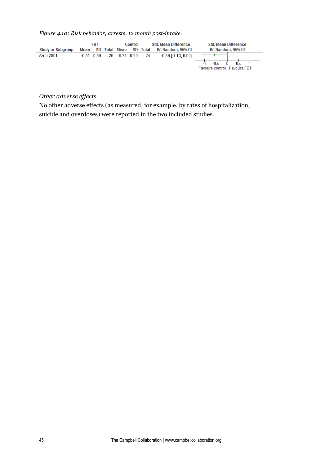*Figure 4.10: Risk behavior, arrests. 12 month post-intake.*



# *Other adverse effects*

No other adverse effects (as measured, for example, by rates of hospitalization, suicide and overdoses) were reported in the two included studies.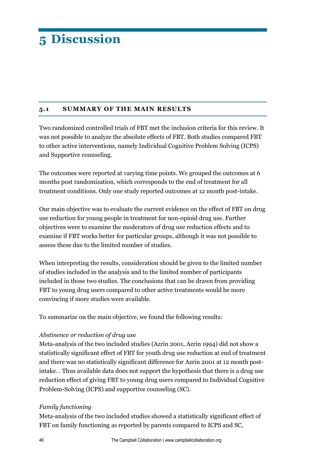# **5 Discussion**

#### **5.1 SUMMARY OF THE MAIN RESULTS**

Two randomized controlled trials of FBT met the inclusion criteria for this review. It was not possible to analyze the absolute effects of FBT. Both studies compared FBT to other active interventions, namely Individual Cognitive Problem Solving (ICPS) and Supportive counseling.

The outcomes were reported at varying time points. We grouped the outcomes at 6 months post randomization, which corresponds to the end of treatment for all treatment conditions. Only one study reported outcomes at 12 month post-intake.

Our main objective was to evaluate the current evidence on the effect of FBT on drug use reduction for young people in treatment for non-opioid drug use. Further objectives were to examine the moderators of drug use reduction effects and to examine if FBT works better for particular groups, although it was not possible to assess these due to the limited number of studies.

When interpreting the results, consideration should be given to the limited number of studies included in the analysis and to the limited number of participants included in those two studies. The conclusions that can be drawn from providing FBT to young drug users compared to other active treatments would be more convincing if more studies were available.

To summarize on the main objective, we found the following results:

#### *Abstinence or reduction of drug use*

Meta-analysis of the two included studies (Azrin 2001, Azrin 1994) did not show a statistically significant effect of FBT for youth drug use reduction at end of treatment and there was no statistically significant difference for Azrin 2001 at 12 month postintake. . Thus available data does not support the hypothesis that there is a drug use reduction effect of giving FBT to young drug users compared to Individual Cognitive Problem-Solving (ICPS) and supportive counseling (SC).

#### *Family functioning*

Meta-analysis of the two included studies showed a statistically significant effect of FBT on family functioning as reported by parents compared to ICPS and SC,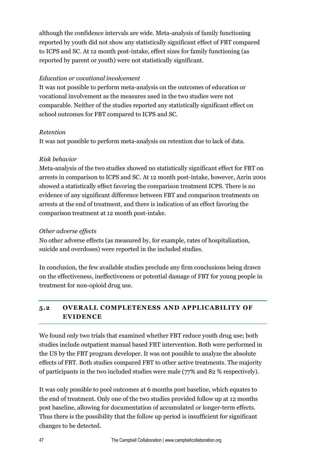although the confidence intervals are wide. Meta-analysis of family functioning reported by youth did not show any statistically significant effect of FBT compared to ICPS and SC. At 12 month post-intake, effect sizes for family functioning (as reported by parent or youth) were not statistically significant.

#### *Education or vocational involvement*

It was not possible to perform meta-analysis on the outcomes of education or vocational involvement as the measures used in the two studies were not comparable. Neither of the studies reported any statistically significant effect on school outcomes for FBT compared to ICPS and SC.

#### *Retention*

It was not possible to perform meta-analysis on retention due to lack of data.

# *Risk behavior*

Meta-analysis of the two studies showed no statistically significant effect for FBT on arrests in comparison to ICPS and SC. At 12 month post-intake, however, Azrin 2001 showed a statistically effect favoring the comparison treatment ICPS. There is no evidence of any significant difference between FBT and comparison treatments on arrests at the end of treatment, and there is indication of an effect favoring the comparison treatment at 12 month post-intake.

#### *Other adverse effects*

No other adverse effects (as measured by, for example, rates of hospitalization, suicide and overdoses) were reported in the included studies.

In conclusion, the few available studies preclude any firm conclusions being drawn on the effectiveness, ineffectiveness or potential damage of FBT for young people in treatment for non-opioid drug use.

# **5.2 OVERALL COMPLETENESS AND APPLICABILITY OF EVIDENCE**

We found only two trials that examined whether FBT reduce youth drug use; both studies include outpatient manual based FBT intervention. Both were performed in the US by the FBT program developer. It was not possible to analyze the absolute effects of FBT. Both studies compared FBT to other active treatments. The majority of participants in the two included studies were male (77% and 82 % respectively).

It was only possible to pool outcomes at 6 months post baseline, which equates to the end of treatment. Only one of the two studies provided follow up at 12 months post baseline, allowing for documentation of accumulated or longer-term effects. Thus there is the possibility that the follow up period is insufficient for significant changes to be detected.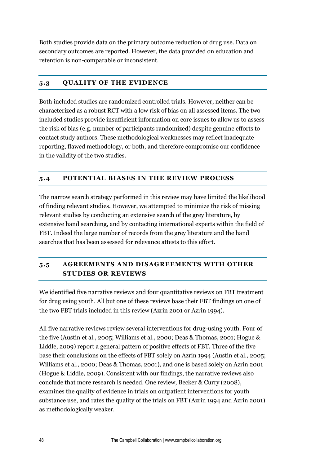Both studies provide data on the primary outcome reduction of drug use. Data on secondary outcomes are reported. However, the data provided on education and retention is non-comparable or inconsistent.

#### **5.3 QUALITY OF THE EVIDENCE**

Both included studies are randomized controlled trials. However, neither can be characterized as a robust RCT with a low risk of bias on all assessed items. The two included studies provide insufficient information on core issues to allow us to assess the risk of bias (e.g. number of participants randomized) despite genuine efforts to contact study authors. These methodological weaknesses may reflect inadequate reporting, flawed methodology, or both, and therefore compromise our confidence in the validity of the two studies.

# **5.4 POTENTIAL BIASES IN THE REVIEW PROCESS**

The narrow search strategy performed in this review may have limited the likelihood of finding relevant studies. However, we attempted to minimize the risk of missing relevant studies by conducting an extensive search of the grey literature, by extensive hand searching, and by contacting international experts within the field of FBT. Indeed the large number of records from the grey literature and the hand searches that has been assessed for relevance attests to this effort.

# **5.5 AGREEMENTS AND DISAGREEMENTS WITH OTHER STUDIES OR REVIEWS**

We identified five narrative reviews and four quantitative reviews on FBT treatment for drug using youth. All but one of these reviews base their FBT findings on one of the two FBT trials included in this review (Azrin 2001 or Azrin 1994).

All five narrative reviews review several interventions for drug-using youth. Four of the five (Austin et al., 2005; Williams et al., 2000; Deas & Thomas, 2001; Hogue & Liddle, 2009) report a general pattern of positive effects of FBT. Three of the five base their conclusions on the effects of FBT solely on Azrin 1994 (Austin et al., 2005; Williams et al., 2000; Deas & Thomas, 2001), and one is based solely on Azrin 2001 (Hogue & Liddle, 2009). Consistent with our findings, the narrative reviews also conclude that more research is needed. One review, Becker & Curry (2008), examines the quality of evidence in trials on outpatient interventions for youth substance use, and rates the quality of the trials on FBT (Azrin 1994 and Azrin 2001) as methodologically weaker.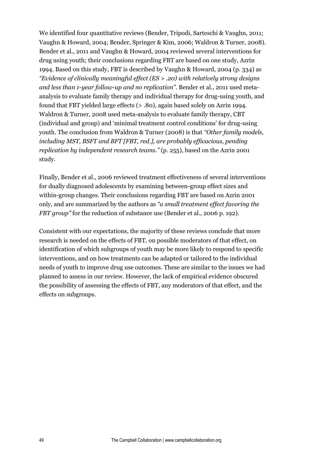We identified four quantitative reviews (Bender, Tripodi, Sarteschi & Vaughn, 2011; Vaughn & Howard, 2004; Bender, Springer & Kim, 2006; Waldron & Turner, 2008). Bender et al., 2011 and Vaughn & Howard, 2004 reviewed several interventions for drug using youth; their conclusions regarding FBT are based on one study, Azrin 1994. Based on this study, FBT is described by Vaughn & Howard, 2004 (p. 334) as *"Evidence of clinically meaningful effect (ES > .20) with relatively strong designs and less than 1-year follow-up and no replication"*. Bender et al., 2011 used metaanalysis to evaluate family therapy and individual therapy for drug-using youth, and found that FBT yielded large effects (> .80), again based solely on Azrin 1994. Waldron & Turner, 2008 used meta-analysis to evaluate family therapy, CBT (individual and group) and 'minimal treatment control conditions' for drug-using youth. The conclusion from Waldron & Turner (2008) is that *"Other family models, including MST, BSFT and BFT [FBT, red.], are probably efficacious, pending replication by independent research teams."* (p. 255), based on the Azrin 2001 study.

Finally, Bender et al., 2006 reviewed treatment effectiveness of several interventions for dually diagnosed adolescents by examining between-group effect sizes and within-group changes. Their conclusions regarding FBT are based on Azrin 2001 only, and are summarized by the authors as *"a small treatment effect favoring the FBT group*" for the reduction of substance use (Bender et al., 2006 p. 192).

Consistent with our expectations, the majority of these reviews conclude that more research is needed on the effects of FBT, on possible moderators of that effect, on identification of which subgroups of youth may be more likely to respond to specific interventions, and on how treatments can be adapted or tailored to the individual needs of youth to improve drug use outcomes. These are similar to the issues we had planned to assess in our review. However, the lack of empirical evidence obscured the possibility of assessing the effects of FBT, any moderators of that effect, and the effects on subgroups.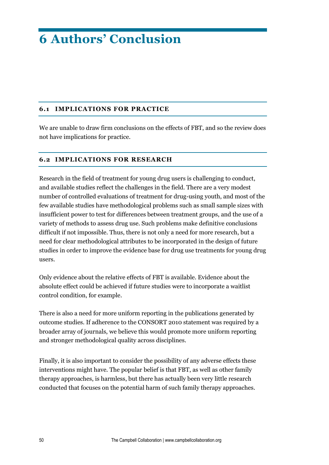# **6 Authors' Conclusion**

#### **6.1 IMPLICATIONS FOR PRACTICE**

We are unable to draw firm conclusions on the effects of FBT, and so the review does not have implications for practice.

#### **6.2 IMPLICATIONS FOR RESEARCH**

Research in the field of treatment for young drug users is challenging to conduct, and available studies reflect the challenges in the field. There are a very modest number of controlled evaluations of treatment for drug-using youth, and most of the few available studies have methodological problems such as small sample sizes with insufficient power to test for differences between treatment groups, and the use of a variety of methods to assess drug use. Such problems make definitive conclusions difficult if not impossible. Thus, there is not only a need for more research, but a need for clear methodological attributes to be incorporated in the design of future studies in order to improve the evidence base for drug use treatments for young drug users.

Only evidence about the relative effects of FBT is available. Evidence about the absolute effect could be achieved if future studies were to incorporate a waitlist control condition, for example.

There is also a need for more uniform reporting in the publications generated by outcome studies. If adherence to the CONSORT 2010 statement was required by a broader array of journals, we believe this would promote more uniform reporting and stronger methodological quality across disciplines.

Finally, it is also important to consider the possibility of any adverse effects these interventions might have. The popular belief is that FBT, as well as other family therapy approaches, is harmless, but there has actually been very little research conducted that focuses on the potential harm of such family therapy approaches.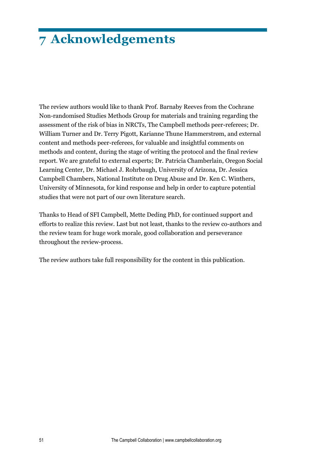# **7 Acknowledgements**

The review authors would like to thank Prof. Barnaby Reeves from the Cochrane Non-randomised Studies Methods Group for materials and training regarding the assessment of the risk of bias in NRCTs, The Campbell methods peer-referees; Dr. William Turner and Dr. Terry Pigott, Karianne Thune Hammerstrøm, and external content and methods peer-referees, for valuable and insightful comments on methods and content, during the stage of writing the protocol and the final review report. We are grateful to external experts; Dr. Patricia Chamberlain, Oregon Social Learning Center, Dr. Michael J. Rohrbaugh, University of Arizona, Dr. Jessica Campbell Chambers, National Institute on Drug Abuse and Dr. Ken C. Winthers, University of Minnesota, for kind response and help in order to capture potential studies that were not part of our own literature search.

Thanks to Head of SFI Campbell, Mette Deding PhD, for continued support and efforts to realize this review. Last but not least, thanks to the review co-authors and the review team for huge work morale, good collaboration and perseverance throughout the review-process.

The review authors take full responsibility for the content in this publication.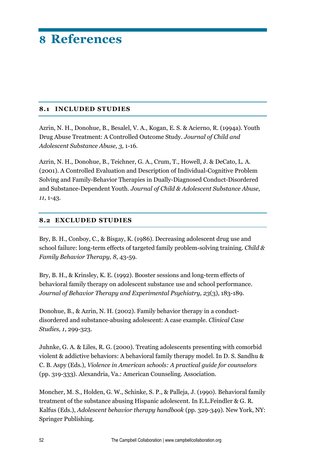# **8 References**

#### **8.1 INCLUDED STUDIES**

Azrin, N. H., Donohue, B., Besalel, V. A., Kogan, E. S. & Acierno, R. (1994a). Youth Drug Abuse Treatment: A Controlled Outcome Study. *Journal of Child and Adolescent Substance Abuse, 3,* 1-16.

Azrin, N. H., Donohue, B., Teichner, G. A., Crum, T., Howell, J. & DeCato, L. A. (2001). A Controlled Evaluation and Description of Individual-Cognitive Problem Solving and Family-Behavior Therapies in Dually-Diagnosed Conduct-Disordered and Substance-Dependent Youth. *Journal of Child & Adolescent Substance Abuse, 11*, 1-43.

#### **8.2 EXCLUDED STUDIES**

Bry, B. H., Conboy, C., & Bisgay, K. (1986). Decreasing adolescent drug use and school failure: long-term effects of targeted family problem-solving training. *Child & Family Behavior Therapy, 8*, 43-59.

Bry, B. H., & Krinsley, K. E. (1992). Booster sessions and long-term effects of behavioral family therapy on adolescent substance use and school performance. *Journal of Behavior Therapy and Experimental Psychiatry, 23*(3), 183-189.

Donohue, B., & Azrin, N. H. (2002). Family behavior therapy in a conductdisordered and substance-abusing adolescent: A case example. *Clinical Case Studies, 1*, 299-323.

Juhnke, G. A. & Liles, R. G. (2000). Treating adolescents presenting with comorbid violent & addictive behaviors: A behavioral family therapy model. In D. S. Sandhu & C. B. Aspy (Eds.), *Violence in American schools: A practical guide for counselors* (pp. 319-333). Alexandria, Va.: American Counseling. Association.

Moncher, M. S., Holden, G. W., Schinke, S. P., & Palleja, J. (1990). Behavioral family treatment of the substance abusing Hispanic adolescent. In E.L.Feindler & G. R. Kalfus (Eds.), *Adolescent behavior therapy handbook* (pp. 329-349). New York, NY: Springer Publishing.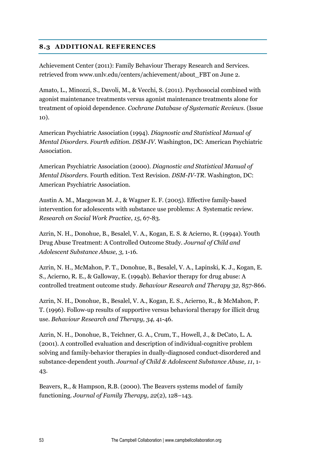# **8.3 ADDITIONAL REFERENCES**

Achievement Center (2011): Family Behaviour Therapy Research and Services. retrieved from www.unlv.edu/centers/achievement/about\_FBT on June 2.

Amato, L., Minozzi, S., Davoli, M., & Vecchi, S. (2011). Psychosocial combined with agonist maintenance treatments versus agonist maintenance treatments alone for treatment of opioid dependence. *Cochrane Database of Systematic Reviews.* (Issue 10).

American Psychiatric Association (1994). *Diagnostic and Statistical Manual of Mental Disorders. Fourth edition. DSM-IV*. Washington, DC: American Psychiatric Association.

American Psychiatric Association (2000). *Diagnostic and Statistical Manual of Mental Disorders.* Fourth edition. Text Revision. *DSM-IV-TR.* Washington, DC: American Psychiatric Association.

Austin A. M., Macgowan M. J., & Wagner E. F. (2005). Effective family-based intervention for adolescents with substance use problems: A Systematic review. *Research on Social Work Practice*, *15*, 67-83.

Azrin, N. H., Donohue, B., Besalel, V. A., Kogan, E. S. & Acierno, R. (1994a). Youth Drug Abuse Treatment: A Controlled Outcome Study. *Journal of Child and Adolescent Substance Abuse, 3,* 1-16.

Azrin, N. H., McMahon, P. T., Donohue, B., Besalel, V. A., Lapinski, K. J., Kogan, E. S., Acierno, R. E., & Galloway, E. (1994b). Behavior therapy for drug abuse: A controlled treatment outcome study. *Behaviour Research and Therapy 32,* 857-866.

Azrin, N. H., Donohue, B., Besalel, V. A., Kogan, E. S., Acierno, R., & McMahon, P. T. (1996). Follow-up results of supportive versus behavioral therapy for illicit drug use. *Behaviour Research and Therapy, 34,* 41-46.

Azrin, N. H., Donohue, B., Teichner, G. A., Crum, T., Howell, J., & DeCato, L. A. (2001). A controlled evaluation and description of individual-cognitive problem solving and family-behavior therapies in dually-diagnosed conduct-disordered and substance-dependent youth. *Journal of Child & Adolescent Substance Abuse, 11*, 1- 43.

Beavers, R., & Hampson, R.B. (2000). The Beavers systems model of family functioning. *Journal of Family Therapy, 22*(2), 128–143.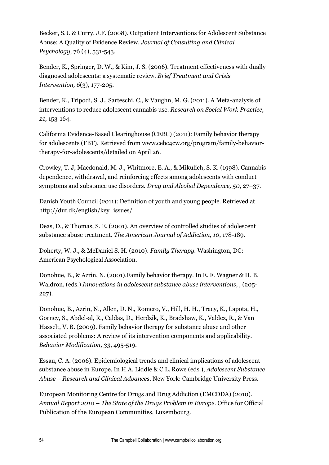Becker, S.J. & Curry, J.F. (2008). Outpatient Interventions for Adolescent Substance Abuse: A Quality of Evidence Review. *Journal of Consulting and Clinical Psychology,* 76 (4), 531-543.

Bender, K., Springer, D. W., & Kim, J. S. (2006). Treatment effectiveness with dually diagnosed adolescents: a systematic review. *Brief Treatment and Crisis Intervention, 6*(3)*,* 177-205.

Bender, K., Tripodi, S. J., Sarteschi, C., & Vaughn, M. G. (2011). A Meta-analysis of interventions to reduce adolescent cannabis use. *Research on Social Work Practice, 21,* 153-164.

California Evidence-Based Clearinghouse (CEBC) (2011): Family behavior therapy for adolescents (FBT). Retrieved from [www.cebc4cw.org/program/family-behavior](http://www.cebc4cw.org/program/family-behavior-therapy-for-adolescents/detailed%20on%20April%2026)[therapy-for-adolescents/detailed on April 26.](http://www.cebc4cw.org/program/family-behavior-therapy-for-adolescents/detailed%20on%20April%2026)

Crowley, T. J, Macdonald, M. J., Whitmore, E. A., & Mikulich, S. K. (1998). Cannabis dependence, withdrawal, and reinforcing effects among adolescents with conduct symptoms and substance use disorders. *Drug and Alcohol Dependence, 50*, 27–37.

Danish Youth Council (2011): Definition of youth and young people. Retrieved at http://duf.dk/english/key\_issues/.

Deas, D., & Thomas, S. E. (2001). An overview of controlled studies of adolescent substance abuse treatment. *The American Journal of Addiction, 10*, 178-189.

Doherty, W. J., & McDaniel S. H. (2010). *Family Therapy.* Washington, DC: American Psychological Association.

Donohue, B., & Azrin, N. (2001).Family behavior therapy. In E. F. Wagner & H. B. Waldron, (eds.) *Innovations in adolescent substance abuse interventions*, , (205- 227).

Donohue, B., Azrin, N., Allen, D. N., Romero, V., Hill, H. H., Tracy, K., Lapota, H., Gorney, S., Abdel-al, R., Caldas, D., Herdzik, K., Bradshaw, K., Valdez, R., & Van Hasselt, V. B. (2009). Family behavior therapy for substance abuse and other associated problems: A review of its intervention components and applicability. *Behavior Modification, 33*, 495-519.

Essau, C. A. (2006). Epidemiological trends and clinical implications of adolescent substance abuse in Europe. In H.A. Liddle & C.L. Rowe (eds.), *Adolescent Substance Abuse – Research and Clinical Advances*. New York: Cambridge University Press.

European Monitoring Centre for Drugs and Drug Addiction (EMCDDA) (2010). *Annual Report 2010 – The State of the Drugs Problem in Europe*. Office for Official Publication of the European Communities, Luxembourg.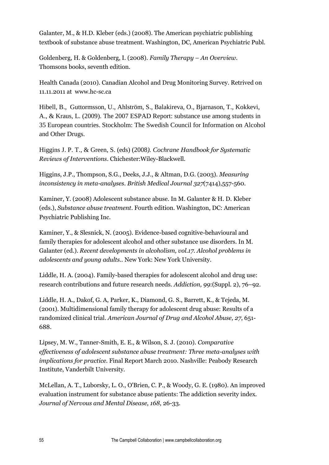Galanter, M., & H.D. Kleber (eds.) (2008). The American psychiatric publishing textbook of substance abuse treatment. Washington, DC, American Psychiatric Publ.

Goldenberg, H. & Goldenberg, I. (2008). *Family Therapy – An Overview.*  Thomsons books, seventh edition.

Health Canada (2010). Canadian Alcohol and Drug Monitoring Survey. Retrived on 11.11.2011 at www.hc-sc.ca

Hibell, B., Guttormsson, U., Ahlström, S., Balakireva, O., Bjarnason, T., Kokkevi, A., & Kraus, L. (2009). The 2007 ESPAD Report: substance use among students in 35 European countries. Stockholm: The Swedish Council for Information on Alcohol and Other Drugs.

Higgins J. P. T., & Green, S. (eds) (2008*). Cochrane Handbook for Systematic Reviews of Interventions*. Chichester:Wiley-Blackwell.

Higgins, J.P., Thompson, S.G., Deeks, J.J., & Altman, D.G. (2003). *Measuring inconsistency in meta-analyses*. *British Medical Journal 327*(7414),557-560.

Kaminer, Y. (2008) Adolescent substance abuse. In M. Galanter & H. D. Kleber (eds.), *Substance abuse treatment*. Fourth edition. Washington, DC: American Psychiatric Publishing Inc.

Kaminer, Y., & Slesnick, N. (2005). Evidence-based cognitive-behavioural and family therapies for adolescent alcohol and other substance use disorders. In M. Galanter (ed.). *Recent developments in alcoholism, vol.17. Alcohol problems in adolescents and young adults.*. New York: New York University.

Liddle, H. A. (2004). Family-based therapies for adolescent alcohol and drug use: research contributions and future research needs. *Addiction, 99*:(Suppl. 2), 76–92.

Liddle, H. A., Dakof, G. A, Parker, K., Diamond, G. S., Barrett, K., & Tejeda, M. (2001). Multidimensional family therapy for adolescent drug abuse: Results of a randomized clinical trial. *American Journal of Drug and Alcohol Abuse, 27*, 651- 688.

Lipsey, M. W., Tanner-Smith, E. E., & Wilson, S. J. (2010). *Comparative effectiveness of adolescent substance abuse treatment: Three meta-analyses with implications for practice.* Final Report March 2010. Nashville: Peabody Research Institute, Vanderbilt University.

McLellan, A. T., Luborsky, L. O., O'Brien, C. P., & Woody, G. E. (1980). An improved evaluation instrument for substance abuse patients: The addiction severity index*. Journal of Nervous and Mental Disease, 168*, 26-33.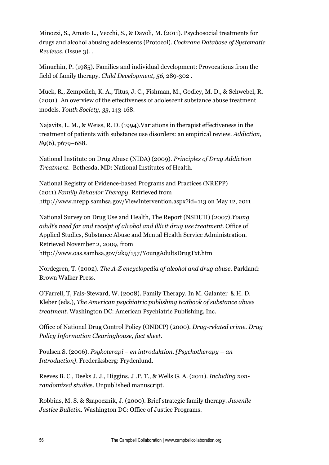Minozzi, S., Amato L., Vecchi, S., & Davoli, M. (2011). Psychosocial treatments for drugs and alcohol abusing adolescents (Protocol). *Cochrane Database of Systematic Reviews*. (Issue 3). .

Minuchin, P. (1985). Families and individual development: Provocations from the field of family therapy. *Child Development, 56,* 289-302 .

Muck, R., Zempolich, K. A., Titus, J. C., Fishman, M., Godley, M. D., & Schwebel, R. (2001). An overview of the effectiveness of adolescent substance abuse treatment models. *Youth Society, 33*, 143-168.

Najavits, L. M., & Weiss, R. D. (1994).Variations in therapist effectiveness in the treatment of patients with substance use disorders: an empirical review. *Addiction, 89*[\(6\), p](http://onlinelibrary.wiley.com/doi/10.1111/add.1994.89.issue-6/issuetoc)679–688.

National Institute on Drug Abuse (NIDA) (2009). *Principles of Drug Addiction Treatment.* Bethesda, MD: National Institutes of Health.

National Registry of Evidence-based Programs and Practices (NREPP) (2011).*Family Behavior Therapy*. Retrieved from http://www.nrepp.samhsa.gov/ViewIntervention.aspx?id=113 on May 12, 2011

National Survey on Drug Use and Health, The Report (NSDUH) (2007).*Young adult's need for and receipt of alcohol and illicit drug use treatment*. Office of Applied Studies, Substance Abuse and Mental Health Service Administration. Retrieved November 2, 2009, from http://www.oas.samhsa.gov/2k9/157/YoungAdultsDrugTxt.htm

Nordegren, T. (2002). *The A-Z encyclopedia of alcohol and drug abuse.* Parkland: Brown Walker Press.

O'Farrell, T, Fals-Steward, W. (2008). Family Therapy. In M. Galanter & H. D. Kleber (eds.), *The American psychiatric publishing textbook of substance abuse treatment.* Washington DC: American Psychiatric Publishing, Inc.

Office of National Drug Control Policy (ONDCP) (2000). *Drug-related crime. Drug Policy Information Clearinghouse, fact sheet*.

Poulsen S. (2006). *Psykoterapi – en introduktion. [Psychotherapy – an Introduction].* Frederiksberg: Frydenlund.

Reeves B. C , Deeks J. J., Higgins. J .P. T., & Wells G. A. (2011). *Including nonrandomized studie*s. Unpublished manuscript.

Robbins, M. S. & Szapocznik, J. (2000). Brief strategic family therapy. *Juvenile Justice Bulletin.* Washington DC: Office of Justice Programs.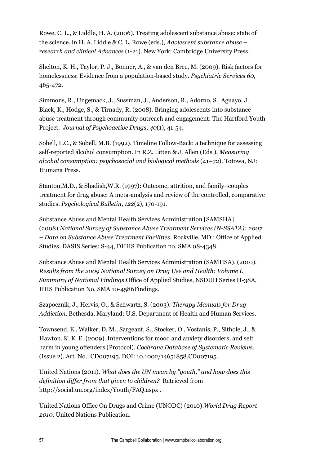Rowe, C. L., & Liddle, H. A. (2006). Treating adolescent substance abuse: state of the science. in H. A. Liddle & C. L. Rowe (eds.), *Adolescent substance abuse – research and clinical Advances* (1-21). New York: Cambridge University Press.

Shelton, K. H., Taylor, P. J., Bonner, A., & van den Bree, M. (2009). Risk factors for homelessness: Evidence from a population-based study. *Psychiatric Services 60*, 465-472.

Simmons, R., Ungemack, J., Sussman, J., Anderson, R., Adorno, S., Aguayo, J., Black, K., Hodge, S., & Tirnady, R. (2008). Bringing adolescents into substance abuse treatment through community outreach and engagement: The Hartford Youth Project. *Journal of Psychoactive Drugs*, *40*(1), 41-54.

Sobell, L.C., & Sobell, M.B. (1992). Timeline Follow-Back: a technique for assessing self-reported alcohol consumption. In R.Z. Litten & J. Allen (Eds.), *Measuring alcohol consumption: psychosocial and biological methods* (41–72). Totowa, NJ: Humana Press.

Stanton,M.D., & Shadish,W.R. (1997): Outcome, attrition, and family–couples treatment for drug abuse: A meta-analysis and review of the controlled, comparative studies. *Psychological Bulletin*, *122*(2), 170-191.

Substance Abuse and Mental Health Services Administration [SAMSHA] (2008).*National Survey of Substance Abuse Treatment Services (N-SSATA): 2007 – Data on Substance Abuse Treatment Facilities*. Rockville, MD.: Office of Applied Studies, DASIS Series: S-44, DHHS Publication no. SMA 08-4348.

Substance Abuse and Mental Health Services Administration (SAMHSA). (2010). *Results from the 2009 National Survey on Drug Use and Health: Volume I. Summary of National Findings*.Office of Applied Studies, NSDUH Series H-38A, HHS Publication No. SMA 10-4586Findings.

Szapocznik, J., Hervis, O., & Schwartz, S. (2003). *Therapy Manuals for Drug Addiction*. Bethesda, Maryland: U.S. Department of Health and Human Services.

Townsend, E., Walker, D. M., Sargeant, S., Stocker, O., Vostanis, P., Sithole, J., & Hawton. K. K. E. (2009). Interventions for mood and anxiety disorders, and self harm in young offenders (Protocol). *Cochrane Database of Systematic Reviews.*  (Issue 2). Art. No.: CD007195. DOI: 10.1002/14651858.CD007195.

United Nations (2011). *What does the UN mean by "youth," and how does this definition differ from that given to children?* Retrieved from http://social.un.org/index/Youth/FAQ.aspx .

United Nations Office On Drugs and Crime (UNODC) (2010).*World Drug Report 2010.* United Nations Publication.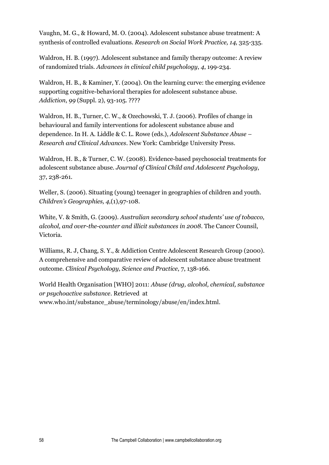Vaughn, M. G., & Howard, M. O. (2004). Adolescent substance abuse treatment: A synthesis of controlled evaluations. *Research on Social Work Practice, 14,* 325-335.

Waldron, H. B. (1997). Adolescent substance and family therapy outcome: A review of randomized trials. *Advances in clinical child psychology*, *4*, 199-234.

Waldron, H. B., & Kaminer, Y. (2004). On the learning curve: the emerging evidence supporting cognitive-behavioral therapies for adolescent substance abuse. *Addiction*, *99* (Suppl. 2), 93-105. ????

Waldron, H. B., Turner, C. W., & Ozechowski, T. J. (2006). Profiles of change in behavioural and family interventions for adolescent substance abuse and dependence. In H. A. Liddle & C. L. Rowe (eds.), *Adolescent Substance Abuse – Research and Clinical Advances*. New York: Cambridge University Press.

Waldron, H. B., & Turner, C. W. (2008). Evidence-based psychosocial treatments for adolescent substance abuse. *Journal of Clinical Child and Adolescent Psychology*, 37, 238-261.

Weller, S. (2006). Situating (young) teenager in geographies of children and youth. *Children's Geographies, 4,*(1),97-108.

White, V. & Smith, G. (2009). *Australian secondary school students' use of tobacco, alcohol, and over-the-counter and illicit substances in 2008*. The Cancer Counsil, Victoria.

Williams, R. J, Chang, S. Y., & Addiction Centre Adolescent Research Group (2000). A comprehensive and comparative review of adolescent substance abuse treatment outcome. *Clinical Psychology, Science and Practice*, 7, 138-166.

World Health Organisation [WHO] 2011: *Abuse (drug, alcohol, chemical, substance or psychoactive substance*. Retrieved at www.who.int/substance\_abuse/terminology/abuse/en/index.html.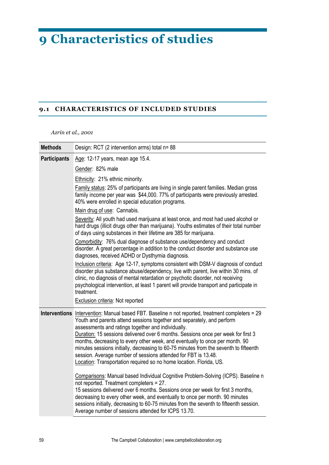# **9 Characteristics of studies**

#### **9.1 CHARACTERISTICS OF INCLUDED STUDIES**

*Azrin et al., 2001*

| <b>Methods</b>      | Design: RCT (2 intervention arms) total n= 88                                                                                                                                                                                                                                                                                                                                                                                                                                                                                                                                                                                           |
|---------------------|-----------------------------------------------------------------------------------------------------------------------------------------------------------------------------------------------------------------------------------------------------------------------------------------------------------------------------------------------------------------------------------------------------------------------------------------------------------------------------------------------------------------------------------------------------------------------------------------------------------------------------------------|
| <b>Participants</b> | Age: 12-17 years, mean age 15.4.                                                                                                                                                                                                                                                                                                                                                                                                                                                                                                                                                                                                        |
|                     | Gender: 82% male                                                                                                                                                                                                                                                                                                                                                                                                                                                                                                                                                                                                                        |
|                     | Ethnicity: 21% ethnic minority.                                                                                                                                                                                                                                                                                                                                                                                                                                                                                                                                                                                                         |
|                     | Family status: 25% of participants are living in single parent families. Median gross<br>family income per year was \$44,000. 77% of participants were previously arrested.<br>40% were enrolled in special education programs.                                                                                                                                                                                                                                                                                                                                                                                                         |
|                     | Main drug of use: Cannabis.                                                                                                                                                                                                                                                                                                                                                                                                                                                                                                                                                                                                             |
|                     | Severity: All youth had used marijuana at least once, and most had used alcohol or<br>hard drugs (illicit drugs other than marijuana). Youths estimates of their total number<br>of days using substances in their lifetime are 385 for marijuana.                                                                                                                                                                                                                                                                                                                                                                                      |
|                     | Comorbidity: 76% dual diagnose of substance use/dependency and conduct<br>disorder. A great percentage in addition to the conduct disorder and substance use<br>diagnoses, received ADHD or Dysthymia diagnosis.                                                                                                                                                                                                                                                                                                                                                                                                                        |
|                     | Inclusion criteria: Age 12-17, symptoms consistent with DSM-V diagnosis of conduct<br>disorder plus substance abuse/dependency, live with parent, live within 30 mins. of<br>clinic, no diagnosis of mental retardation or psychotic disorder, not receiving<br>psychological intervention, at least 1 parent will provide transport and participate in<br>treatment.                                                                                                                                                                                                                                                                   |
|                     | Exclusion criteria: Not reported                                                                                                                                                                                                                                                                                                                                                                                                                                                                                                                                                                                                        |
|                     | Interventions Intervention: Manual based FBT. Baseline n not reported, treatment completers = 29<br>Youth and parents attend sessions together and separately, and perform<br>assessments and ratings together and individually.<br>Duration: 15 sessions delivered over 6 months. Sessions once per week for first 3<br>months, decreasing to every other week, and eventually to once per month. 90<br>minutes sessions initially, decreasing to 60-75 minutes from the seventh to fifteenth<br>session. Average number of sessions attended for FBT is 13.48.<br>Location: Transportation required so no home location. Florida, US. |
|                     | Comparisons: Manual based Individual Cognitive Problem-Solving (ICPS). Baseline n<br>not reported. Treatment completers = 27.<br>15 sessions delivered over 6 months. Sessions once per week for first 3 months,<br>decreasing to every other week, and eventually to once per month. 90 minutes<br>sessions initially, decreasing to 60-75 minutes from the seventh to fifteenth session.<br>Average number of sessions attended for ICPS 13.70.                                                                                                                                                                                       |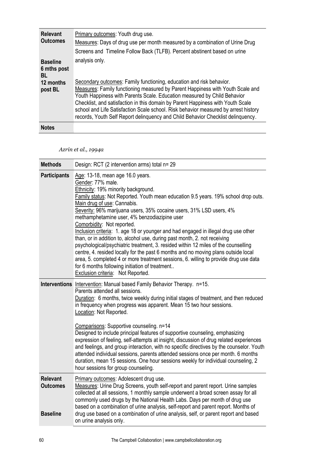| <b>Relevant</b><br><b>Outcomes</b>                           | Primary outcomes: Youth drug use.<br>Measures: Days of drug use per month measured by a combination of Urine Drug<br>Screens and Timeline Follow Back (TLFB). Percent abstinent based on urine                                                                                                                                                                                                                                                                                                                     |
|--------------------------------------------------------------|--------------------------------------------------------------------------------------------------------------------------------------------------------------------------------------------------------------------------------------------------------------------------------------------------------------------------------------------------------------------------------------------------------------------------------------------------------------------------------------------------------------------|
| <b>Baseline</b><br>6 mths post<br>BL<br>12 months<br>post BL | analysis only.<br>Secondary outcomes: Family functioning, education and risk behavior.<br>Measures: Family functioning measured by Parent Happiness with Youth Scale and<br>Youth Happiness with Parents Scale. Education measured by Child Behavior<br>Checklist, and satisfaction in this domain by Parent Happiness with Youth Scale<br>school and Life Satisfaction Scale school. Risk behavior measured by arrest history<br>records, Youth Self Report delinquency and Child Behavior Checklist delinquency. |
| <b>Notes</b>                                                 |                                                                                                                                                                                                                                                                                                                                                                                                                                                                                                                    |

*Azrin et al., 1994a* 

| <b>Methods</b>                                        | Design: RCT (2 intervention arms) total n= 29                                                                                                                                                                                                                                                                                                                                                                                                                                                                                                                                                                                                                                                                                                                                                                                                                                                        |
|-------------------------------------------------------|------------------------------------------------------------------------------------------------------------------------------------------------------------------------------------------------------------------------------------------------------------------------------------------------------------------------------------------------------------------------------------------------------------------------------------------------------------------------------------------------------------------------------------------------------------------------------------------------------------------------------------------------------------------------------------------------------------------------------------------------------------------------------------------------------------------------------------------------------------------------------------------------------|
| <b>Participants</b>                                   | Age: 13-18, mean age 16.0 years.<br>Gender: 77% male.<br>Ethnicity: 19% minority background.<br>Family status: Not Reported. Youth mean education 9.5 years. 19% school drop outs.<br>Main drug of use: Cannabis.<br>Severity: 96% marijuana users, 35% cocaine users, 31% LSD users, 4%<br>methamphetamine user, 4% benzodiazipine user<br>Comorbidity: Not reported.<br>Inclusion criteria: 1. age 18 or younger and had engaged in illegal drug use other<br>than, or in addition to, alcohol use, during past month, 2. not receiving<br>psychological/psychiatric treatment, 3. resided within 12 miles of the counselling<br>centre, 4. resided locally for the past 6 months and no moving plans outside local<br>area, 5. completed 4 or more treatment sessions, 6. willing to provide drug use data<br>for 6 months following initiation of treatment<br>Exclusion criteria: Not Reported. |
|                                                       | Interventions Intervention: Manual based Family Behavior Therapy. n=15.<br>Parents attended all sessions.<br>Duration: 6 months, twice weekly during initial stages of treatment, and then reduced<br>in frequency when progress was apparent. Mean 15 two hour sessions.<br>Location: Not Reported.<br>Comparisons: Supportive counseling. n=14<br>Designed to include principal features of supportive counseling, emphasizing<br>expression of feeling, self-attempts at insight, discussion of drug related experiences<br>and feelings, and group interaction, with no specific directives by the counselor. Youth<br>attended individual sessions, parents attended sessions once per month. 6 months<br>duration, mean 15 sessions. One hour sessions weekly for individual counseling, 2<br>hour sessions for group counseling.                                                              |
| <b>Relevant</b><br><b>Outcomes</b><br><b>Baseline</b> | Primary outcomes: Adolescent drug use.<br>Measures: Urine Drug Screens, youth self-report and parent report. Urine samples<br>collected at all sessions, 1 monthly sample underwent a broad screen assay for all<br>commonly used drugs by the National Health Labs. Days per month of drug use<br>based on a combination of urine analysis, self-report and parent report. Months of<br>drug use based on a combination of urine analysis, self, or parent report and based<br>on urine analysis only.                                                                                                                                                                                                                                                                                                                                                                                              |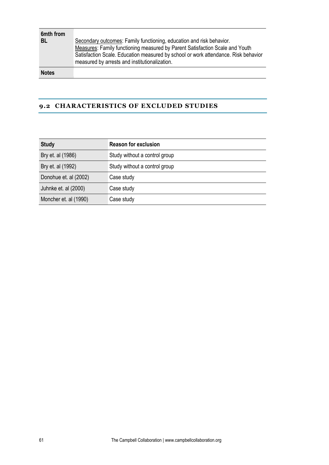| 6mth from<br>BL | Secondary outcomes: Family functioning, education and risk behavior.<br>Measures: Family functioning measured by Parent Satisfaction Scale and Youth<br>Satisfaction Scale. Education measured by school or work attendance. Risk behavior<br>measured by arrests and institutionalization. |
|-----------------|---------------------------------------------------------------------------------------------------------------------------------------------------------------------------------------------------------------------------------------------------------------------------------------------|
| <b>Notes</b>    |                                                                                                                                                                                                                                                                                             |

#### **9.2 CHARACTERISTICS OF EXCLUDED STUDIES**

| <b>Study</b>          | <b>Reason for exclusion</b>   |
|-----------------------|-------------------------------|
| Bry et. al (1986)     | Study without a control group |
| Bry et. al (1992)     | Study without a control group |
| Donohue et. al (2002) | Case study                    |
| Juhnke et. al (2000)  | Case study                    |
| Moncher et. al (1990) | Case study                    |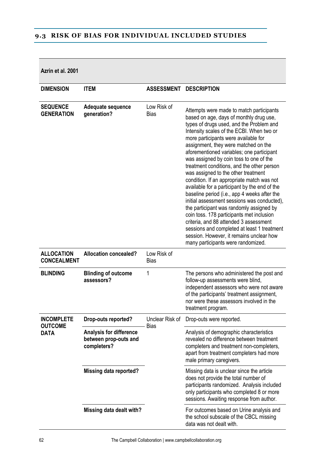# **9.3 RISK OF BIAS FOR INDIVIDUAL INCLUDED STUDIES**

**Azrin et al. 2001**

| <b>DIMENSION</b>                        | <b>ITEM</b>                                                            | <b>ASSESSMENT</b>              | <b>DESCRIPTION</b>                                                                                                                                                                                                                                                                                                                                                                                                                                                                                                                                                                                                                                                                                                                                                                                                                                                                                          |
|-----------------------------------------|------------------------------------------------------------------------|--------------------------------|-------------------------------------------------------------------------------------------------------------------------------------------------------------------------------------------------------------------------------------------------------------------------------------------------------------------------------------------------------------------------------------------------------------------------------------------------------------------------------------------------------------------------------------------------------------------------------------------------------------------------------------------------------------------------------------------------------------------------------------------------------------------------------------------------------------------------------------------------------------------------------------------------------------|
| <b>SEQUENCE</b><br><b>GENERATION</b>    | Adequate sequence<br>generation?                                       | Low Risk of<br><b>Bias</b>     | Attempts were made to match participants<br>based on age, days of monthly drug use,<br>types of drugs used, and the Problem and<br>Intensity scales of the ECBI. When two or<br>more participants were available for<br>assignment, they were matched on the<br>aforementioned variables; one participant<br>was assigned by coin toss to one of the<br>treatment conditions, and the other person<br>was assigned to the other treatment<br>condition. If an appropriate match was not<br>available for a participant by the end of the<br>baseline period (i.e., app 4 weeks after the<br>initial assessment sessions was conducted),<br>the participant was randomly assigned by<br>coin toss. 178 participants met inclusion<br>criteria, and 88 attended 3 assessment<br>sessions and completed at least 1 treatment<br>session. However, it remains unclear how<br>many participants were randomized. |
| <b>ALLOCATION</b><br><b>CONCEALMENT</b> | <b>Allocation concealed?</b>                                           | Low Risk of<br><b>Bias</b>     |                                                                                                                                                                                                                                                                                                                                                                                                                                                                                                                                                                                                                                                                                                                                                                                                                                                                                                             |
| <b>BLINDING</b>                         | <b>Blinding of outcome</b><br>assessors?                               | 1                              | The persons who administered the post and<br>follow-up assessments were blind,<br>independent assessors who were not aware<br>of the participants' treatment assignment,<br>nor were these assessors involved in the<br>treatment program.                                                                                                                                                                                                                                                                                                                                                                                                                                                                                                                                                                                                                                                                  |
| <b>INCOMPLETE</b><br><b>OUTCOME</b>     | Drop-outs reported?                                                    | Unclear Risk of<br><b>Bias</b> | Drop-outs were reported.                                                                                                                                                                                                                                                                                                                                                                                                                                                                                                                                                                                                                                                                                                                                                                                                                                                                                    |
| <b>DATA</b>                             | <b>Analysis for difference</b><br>between prop-outs and<br>completers? |                                | Analysis of demographic characteristics<br>revealed no difference between treatment<br>completers and treatment non-completers,<br>apart from treatment completers had more<br>male primary caregivers.                                                                                                                                                                                                                                                                                                                                                                                                                                                                                                                                                                                                                                                                                                     |
|                                         | <b>Missing data reported?</b>                                          |                                | Missing data is unclear since the article<br>does not provide the total number of<br>participants randomized. Analysis included<br>only participants who completed 8 or more<br>sessions. Awaiting response from author.                                                                                                                                                                                                                                                                                                                                                                                                                                                                                                                                                                                                                                                                                    |
|                                         | Missing data dealt with?                                               |                                | For outcomes based on Urine analysis and<br>the school subscale of the CBCL missing<br>data was not dealt with.                                                                                                                                                                                                                                                                                                                                                                                                                                                                                                                                                                                                                                                                                                                                                                                             |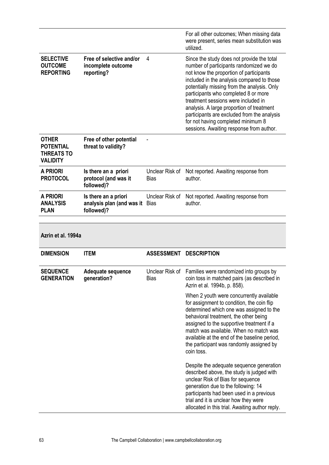|                                                                          |                                                                 |                                | For all other outcomes; When missing data<br>were present, series mean substitution was<br>utilized.                                                                                                                                                                                                                                                                                                                                                                                       |
|--------------------------------------------------------------------------|-----------------------------------------------------------------|--------------------------------|--------------------------------------------------------------------------------------------------------------------------------------------------------------------------------------------------------------------------------------------------------------------------------------------------------------------------------------------------------------------------------------------------------------------------------------------------------------------------------------------|
| <b>SELECTIVE</b><br><b>OUTCOME</b><br><b>REPORTING</b>                   | Free of selective and/or<br>incomplete outcome<br>reporting?    | 4                              | Since the study does not provide the total<br>number of participants randomized we do<br>not know the proportion of participants<br>included in the analysis compared to those<br>potentially missing from the analysis. Only<br>participants who completed 8 or more<br>treatment sessions were included in<br>analysis. A large proportion of treatment<br>participants are excluded from the analysis<br>for not having completed minimum 8<br>sessions. Awaiting response from author. |
| <b>OTHER</b><br><b>POTENTIAL</b><br><b>THREATS TO</b><br><b>VALIDITY</b> | Free of other potential<br>threat to validity?                  |                                |                                                                                                                                                                                                                                                                                                                                                                                                                                                                                            |
| <b>A PRIORI</b><br><b>PROTOCOL</b>                                       | Is there an a priori<br>protocol (and was it<br>followed)?      | Unclear Risk of<br><b>Bias</b> | Not reported. Awaiting response from<br>author.                                                                                                                                                                                                                                                                                                                                                                                                                                            |
| <b>A PRIORI</b><br><b>ANALYSIS</b><br><b>PLAN</b>                        | Is there an a priori<br>analysis plan (and was it<br>followed)? | Unclear Risk of<br><b>Bias</b> | Not reported. Awaiting response from<br>author.                                                                                                                                                                                                                                                                                                                                                                                                                                            |
|                                                                          |                                                                 |                                |                                                                                                                                                                                                                                                                                                                                                                                                                                                                                            |
| Azrin et al. 1994a                                                       |                                                                 |                                |                                                                                                                                                                                                                                                                                                                                                                                                                                                                                            |
| <b>DIMENSION</b>                                                         | <b>ITEM</b>                                                     | ASSESSMENT DESCRIPTION         |                                                                                                                                                                                                                                                                                                                                                                                                                                                                                            |
| <b>SEQUENCE</b><br><b>GENERATION</b>                                     | Adequate sequence<br>generation?                                | <b>Bias</b>                    | Unclear Risk of Families were randomized into groups by<br>coin toss in matched pairs (as described in<br>Azrin et al. 1994b, p. 858).                                                                                                                                                                                                                                                                                                                                                     |
|                                                                          |                                                                 |                                | When 2 youth were concurrently available<br>for assignment to condition, the coin flip<br>determined which one was assigned to the                                                                                                                                                                                                                                                                                                                                                         |
|                                                                          |                                                                 |                                | behavioral treatment, the other being<br>assigned to the supportive treatment if a<br>match was available. When no match was<br>available at the end of the baseline period,<br>the participant was randomly assigned by<br>coin toss.                                                                                                                                                                                                                                                     |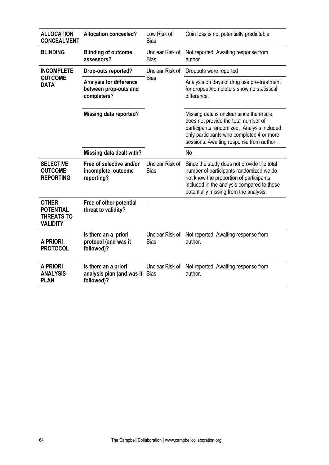| <b>ALLOCATION</b><br><b>CONCEALMENT</b>                                  | <b>Allocation concealed?</b>                                           | Low Risk of<br><b>Bias</b>     | Coin toss is not potentially predictable.                                                                                                                                                                                |
|--------------------------------------------------------------------------|------------------------------------------------------------------------|--------------------------------|--------------------------------------------------------------------------------------------------------------------------------------------------------------------------------------------------------------------------|
| <b>BLINDING</b>                                                          | <b>Blinding of outcome</b><br>assessors?                               | Unclear Risk of<br><b>Bias</b> | Not reported. Awaiting response from<br>author.                                                                                                                                                                          |
| <b>INCOMPLETE</b>                                                        | Drop-outs reported?                                                    | Unclear Risk of                | Dropouts were reported                                                                                                                                                                                                   |
| <b>OUTCOME</b><br><b>DATA</b>                                            | <b>Analysis for difference</b><br>between prop-outs and<br>completers? | Bias                           | Analysis on days of drug use pre-treatment<br>for dropout/completers show no statistical<br>difference.                                                                                                                  |
|                                                                          | <b>Missing data reported?</b>                                          |                                | Missing data is unclear since the article<br>does not provide the total number of<br>participants randomized. Analysis included<br>only participants who completed 4 or more<br>sessions. Awaiting response from author. |
|                                                                          | Missing data dealt with?                                               |                                | <b>No</b>                                                                                                                                                                                                                |
| <b>SELECTIVE</b><br><b>OUTCOME</b><br><b>REPORTING</b>                   | Free of selective and/or<br>incomplete outcome<br>reporting?           | Unclear Risk of<br><b>Bias</b> | Since the study does not provide the total<br>number of participants randomized we do<br>not know the proportion of participants<br>included in the analysis compared to those<br>potentially missing from the analysis. |
| <b>OTHER</b><br><b>POTENTIAL</b><br><b>THREATS TO</b><br><b>VALIDITY</b> | Free of other potential<br>threat to validity?                         |                                |                                                                                                                                                                                                                          |
| <b>A PRIORI</b><br><b>PROTOCOL</b>                                       | Is there an a priori<br>protocol (and was it<br>followed)?             | Unclear Risk of<br><b>Bias</b> | Not reported. Awaiting response from<br>author.                                                                                                                                                                          |
| <b>A PRIORI</b><br><b>ANALYSIS</b><br><b>PLAN</b>                        | Is there an a priori<br>analysis plan (and was it<br>followed)?        | Unclear Risk of<br><b>Bias</b> | Not reported. Awaiting response from<br>author.                                                                                                                                                                          |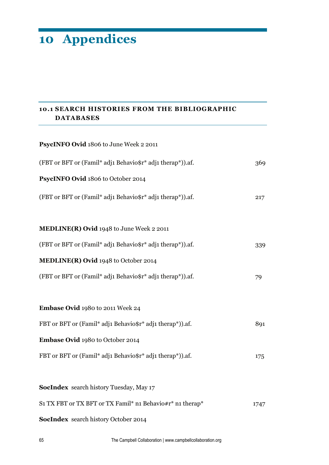# **10 Appendices**

# **10.1 SEARCH HISTORIES FROM THE BIBLIOGRAPHIC DATABASES**

| PsycINFO Ovid 1806 to June Week 2 2011                     |      |
|------------------------------------------------------------|------|
| (FBT or BFT or (Famil* adj1 Behavio\$r* adj1 therap*)).af. | 369  |
| PsycINFO Ovid 1806 to October 2014                         |      |
| (FBT or BFT or (Famil* adj1 Behavio\$r* adj1 therap*)).af. | 217  |
|                                                            |      |
| MEDLINE(R) Ovid 1948 to June Week 2 2011                   |      |
| (FBT or BFT or (Famil* adj1 Behavio\$r* adj1 therap*)).af. | 339  |
| MEDLINE(R) Ovid 1948 to October 2014                       |      |
| (FBT or BFT or (Famil* adj1 Behavio\$r* adj1 therap*)).af. | 79   |
|                                                            |      |
| Embase Ovid 1980 to 2011 Week 24                           |      |
| FBT or BFT or (Famil* adj1 Behavio\$r* adj1 therap*)).af.  | 891  |
| Embase Ovid 1980 to October 2014                           |      |
| FBT or BFT or (Famil* adj1 Behavio\$r* adj1 therap*)).af.  | 175  |
|                                                            |      |
| <b>SocIndex</b> search history Tuesday, May 17             |      |
| S1 TX FBT or TX BFT or TX Famil* n1 Behavio#r* n1 therap*  | 1747 |
| <b>SocIndex</b> search history October 2014                |      |

65 The Campbell Collaboration | www.campbellcollaboration.org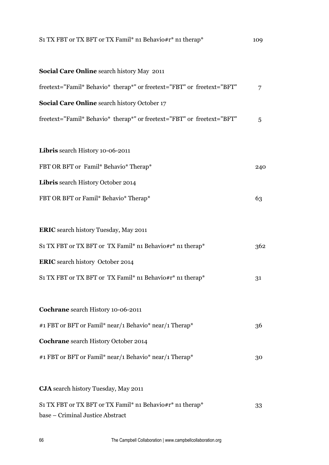| S1 TX FBT or TX BFT or TX Famil* n1 Behavio#r* n1 therap*              | 109 |
|------------------------------------------------------------------------|-----|
| <b>Social Care Online</b> search history May 2011                      |     |
| freetext="Famil* Behavio* therap*" or freetext="FBT" or freetext="BFT" | 7   |
| <b>Social Care Online</b> search history October 17                    |     |
| freetext="Famil* Behavio* therap*" or freetext="FBT" or freetext="BFT" | 5   |
| Libris search History 10-06-2011                                       |     |
| FBT OR BFT or Famil* Behavio* Therap*                                  | 240 |
| Libris search History October 2014                                     |     |
| FBT OR BFT or Famil* Behavio* Therap*                                  | 63  |
|                                                                        |     |
| <b>ERIC</b> search history Tuesday, May 2011                           |     |
| S1 TX FBT or TX BFT or TX Famil* n1 Behavio#r* n1 therap*              | 362 |
| <b>ERIC</b> search history October 2014                                |     |
| S1 TX FBT or TX BFT or TX Famil* n1 Behavio#r* n1 therap*              | 31  |
|                                                                        |     |
| Cochrane search History 10-06-2011                                     |     |
| #1 FBT or BFT or Famil* near/1 Behavio* near/1 Therap*                 | 36  |
| Cochrane search History October 2014                                   |     |
| #1 FBT or BFT or Famil* near/1 Behavio* near/1 Therap*                 | 30  |
| <b>CJA</b> search history Tuesday, May 2011                            |     |
| S1 TX FBT or TX BFT or TX Famil* n1 Behavio#r* n1 therap*              | 33  |
| base - Criminal Justice Abstract                                       |     |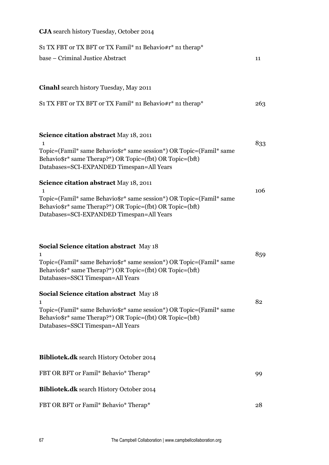| S1 TX FBT or TX BFT or TX Famil* n1 Behavio#r* n1 therap*<br>base – Criminal Justice Abstract                                                                                                                                          | 11  |
|----------------------------------------------------------------------------------------------------------------------------------------------------------------------------------------------------------------------------------------|-----|
| Cinahl search history Tuesday, May 2011                                                                                                                                                                                                |     |
| S1 TX FBT or TX BFT or TX Famil* n1 Behavio#r* n1 therap*                                                                                                                                                                              | 263 |
| Science citation abstract May 18, 2011<br>Topic=(Famil* same Behavio\$r* same session*) OR Topic=(Famil* same<br>Behavio\$r* same Therap?*) OR Topic=(fbt) OR Topic=(bft)<br>Databases=SCI-EXPANDED Timespan=All Years                 | 833 |
| Science citation abstract May 18, 2011<br>$\mathbf{1}$<br>Topic=(Famil* same Behavio\$r* same session*) OR Topic=(Famil* same<br>Behavio\$r* same Therap?*) OR Topic=(fbt) OR Topic=(bft)<br>Databases=SCI-EXPANDED Timespan=All Years | 106 |
| <b>Social Science citation abstract</b> May 18<br>1<br>Topic=(Famil* same Behavio\$r* same session*) OR Topic=(Famil* same<br>Behavio\$r* same Therap?*) OR Topic=(fbt) OR Topic=(bft)<br>Databases=SSCI Timespan=All Years            | 859 |
| <b>Social Science citation abstract May 18</b><br>1<br>Topic=(Famil* same Behavio\$r* same session*) OR Topic=(Famil* same<br>Behavio\$r* same Therap?*) OR Topic=(fbt) OR Topic=(bft)<br>Databases=SSCI Timespan=All Years            | 82  |
| <b>Bibliotek.dk</b> search History October 2014<br>FBT OR BFT or Famil* Behavio* Therap*                                                                                                                                               | 99  |
| <b>Bibliotek.dk</b> search History October 2014                                                                                                                                                                                        |     |
| FBT OR BFT or Famil* Behavio* Therap*                                                                                                                                                                                                  | 28  |

**CJA** search history Tuesday, October 2014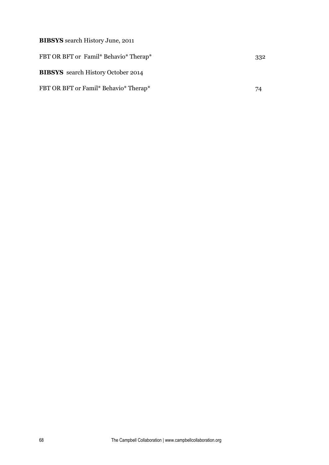**BIBSYS** search History June, 2011 FBT OR BFT or Famil\* Behavio\* Therap\* 332 **BIBSYS** search History October 2014 FBT OR BFT or Famil\* Behavio\* Therap\* 74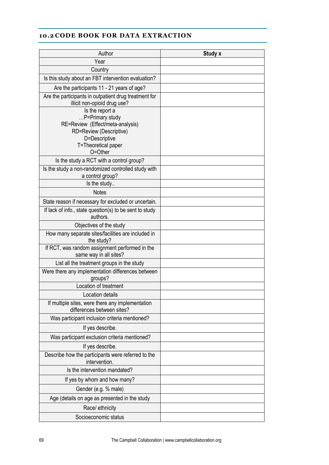# **10.2 CODE BOOK FOR DATA EXTRACTION**

| Author                                                                                                                                               | Study x |
|------------------------------------------------------------------------------------------------------------------------------------------------------|---------|
| Year                                                                                                                                                 |         |
| Country                                                                                                                                              |         |
| Is this study about an FBT intervention evaluation?                                                                                                  |         |
| Are the participants 11 - 21 years of age?                                                                                                           |         |
| Are the participants in outpatient drug treatment for<br>illicit non-opioid drug use?                                                                |         |
| Is the report a<br>P=Primary study<br>RE=Review (Effect/meta-analysis)<br>RD=Review (Descriptive)<br>D=Descriptive<br>T=Theoretical paper<br>O=Other |         |
| Is the study a RCT with a control group?                                                                                                             |         |
| Is the study a non-randomized controlled study with<br>a control group?                                                                              |         |
| Is the study                                                                                                                                         |         |
| <b>Notes</b>                                                                                                                                         |         |
| State reason if necessary for excluded or uncertain.                                                                                                 |         |
| If lack of info., state question(s) to be sent to study<br>authors.                                                                                  |         |
| Objectives of the study                                                                                                                              |         |
| How many separate sites/facilities are included in<br>the study?                                                                                     |         |
| If RCT, was random assignment performed in the<br>same way in all sites?                                                                             |         |
| List all the treatment groups in the study                                                                                                           |         |
| Were there any implementation differences between<br>groups?                                                                                         |         |
| Location of treatment                                                                                                                                |         |
| Location details                                                                                                                                     |         |
| If multiple sites, were there any implementation<br>differences between sites?                                                                       |         |
| Was participant inclusion criteria mentioned?                                                                                                        |         |
| If yes describe.                                                                                                                                     |         |
| Was participant exclusion criteria mentioned?                                                                                                        |         |
| If yes describe.                                                                                                                                     |         |
| Describe how the participants were referred to the<br>intervention.                                                                                  |         |
| Is the intervention mandated?                                                                                                                        |         |
| If yes by whom and how many?                                                                                                                         |         |
| Gender (e.g. % male)                                                                                                                                 |         |
| Age (details on age as presented in the study                                                                                                        |         |
| Race/ ethnicity                                                                                                                                      |         |
| Socioeconomic status                                                                                                                                 |         |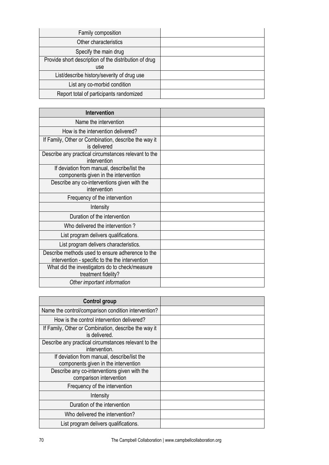| Family composition                                    |  |
|-------------------------------------------------------|--|
| Other characteristics                                 |  |
| Specify the main drug                                 |  |
| Provide short description of the distribution of drug |  |
| use                                                   |  |
| List/describe history/severity of drug use            |  |
| List any co-morbid condition                          |  |
| Report total of participants randomized               |  |

| <b>Intervention</b>                                                                                 |  |
|-----------------------------------------------------------------------------------------------------|--|
| Name the intervention                                                                               |  |
| How is the intervention delivered?                                                                  |  |
| If Family, Other or Combination, describe the way it<br>is delivered                                |  |
| Describe any practical circumstances relevant to the<br>intervention                                |  |
| If deviation from manual, describe/list the<br>components given in the intervention                 |  |
| Describe any co-interventions given with the<br>intervention                                        |  |
| Frequency of the intervention                                                                       |  |
| Intensity                                                                                           |  |
| Duration of the intervention                                                                        |  |
| Who delivered the intervention?                                                                     |  |
| List program delivers qualifications.                                                               |  |
| List program delivers characteristics.                                                              |  |
| Describe methods used to ensure adherence to the<br>intervention - specific to the the intervention |  |
| What did the investigators do to check/measure<br>treatment fidelity?                               |  |
| Other important information                                                                         |  |

| <b>Control group</b>                                                                |  |
|-------------------------------------------------------------------------------------|--|
| Name the control/comparison condition intervention?                                 |  |
| How is the control intervention delivered?                                          |  |
| If Family, Other or Combination, describe the way it<br>is delivered.               |  |
| Describe any practical circumstances relevant to the<br>intervention.               |  |
| If deviation from manual, describe/list the<br>components given in the intervention |  |
| Describe any co-interventions given with the<br>comparison intervention             |  |
| Frequency of the intervention                                                       |  |
| Intensity                                                                           |  |
| Duration of the intervention                                                        |  |
| Who delivered the intervention?                                                     |  |
| List program delivers qualifications.                                               |  |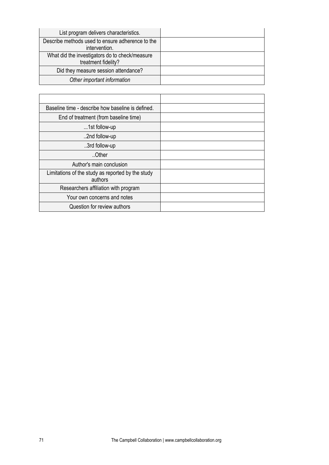| List program delivers characteristics.                                |  |
|-----------------------------------------------------------------------|--|
| Describe methods used to ensure adherence to the<br>intervention.     |  |
| What did the investigators do to check/measure<br>treatment fidelity? |  |
| Did they measure session attendance?                                  |  |
| Other important information                                           |  |

| Baseline time - describe how baseline is defined.            |  |
|--------------------------------------------------------------|--|
| End of treatment (from baseline time)                        |  |
| 1st follow-up                                                |  |
| 2nd follow-up                                                |  |
| 3rd follow-up                                                |  |
| Other                                                        |  |
| Author's main conclusion                                     |  |
| Limitations of the study as reported by the study<br>authors |  |
| Researchers affiliation with program                         |  |
| Your own concerns and notes                                  |  |
| Question for review authors                                  |  |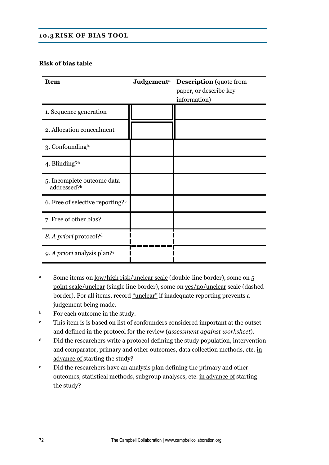#### **10.3 RISK OF BIAS TOOL**

#### **Risk of bias table**

| <b>Item</b>                                   | Judgement <sup>a</sup> Description (quote from<br>paper, or describe key<br>information) |
|-----------------------------------------------|------------------------------------------------------------------------------------------|
| 1. Sequence generation                        |                                                                                          |
| 2. Allocation concealment                     |                                                                                          |
| 3. Confounding <sup>b,</sup>                  |                                                                                          |
| 4. Blinding? $b$                              |                                                                                          |
| 5. Incomplete outcome data<br>addressed?b     |                                                                                          |
| 6. Free of selective reporting? $\frac{b}{b}$ |                                                                                          |
| 7. Free of other bias?                        |                                                                                          |
| 8. A priori protocol? <sup>d</sup>            |                                                                                          |
| 9. A priori analysis plan? <sup>e</sup>       |                                                                                          |

- <sup>a</sup> Some items on <u>low/high risk/unclear scale</u> (double-line border), some on 5 point scale/unclear (single line border), some on yes/no/unclear scale (dashed border). For all items, record "unclear" if inadequate reporting prevents a judgement being made.
- b For each outcome in the study.
- <sup>c</sup> This item is is based on list of confounders considered important at the outset and defined in the protocol for the review (*assessment against worksheet*).
- <sup>d</sup> Did the researchers write a protocol defining the study population, intervention and comparator, primary and other outcomes, data collection methods, etc. in advance of starting the study?
- <sup>e</sup> Did the researchers have an analysis plan defining the primary and other outcomes, statistical methods, subgroup analyses, etc. in advance of starting the study?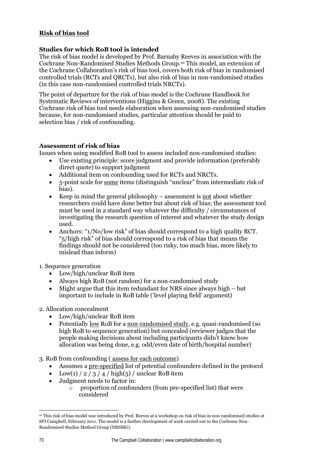## **Risk of bias tool**

## **Studies for which RoB tool is intended**

The risk of bias model is developed by Prof. Barnaby Reeves in association with the Cochrane Non-Randomised Studies Methods Group.<sup>10</sup> This model, an extension of the Cochrane Collaboration's risk of bias tool, covers both risk of bias in randomised controlled trials (RCTs and QRCTs), but also risk of bias in non-randomised studies (in this case non-randomised controlled trials NRCTs).

The point of departure for the risk of bias model is the Cochrane Handbook for Systematic Reviews of interventions (Higgins & Green, 2008). The existing Cochrane risk of bias tool needs elaboration when assessing non-randomised studies because, for non-randomised studies, particular attention should be paid to selection bias / risk of confounding.

### **Assessment of risk of bias**

Issues when using modified RoB tool to assess included non-randomised studies:

- Use existing principle: score judgment and provide information (preferably direct quote) to support judgment
- Additional item on confounding used for RCTs and NRCTs.
- 5-point scale for some items (distinguish "unclear" from intermediate risk of bias).
- Exercise Keep in mind the general philosophy assessment is <u>not</u> about whether researchers could have done better but about risk of bias; the assessment tool must be used in a standard way whatever the difficulty / circumstances of investigating the research question of interest and whatever the study design used.
- Anchors: "1/No/low risk" of bias should correspond to a high quality RCT. "5/high risk" of bias should correspond to a risk of bias that means the findings should not be considered (too risky, too much bias, more likely to mislead than inform)

1. Sequence generation

- Low/high/unclear RoB item
- Always high RoB (not random) for a non-randomised study
- $\bullet$  Might argue that this item redundant for NRS since always high but important to include in RoB table ('level playing field' argument)
- 2. Allocation concealment
	- Low/high/unclear RoB item
	- Potentially low RoB for a non-randomised study, e.g. quasi-randomised (so high RoB to sequence generation) but concealed (reviewer judges that the people making decisions about including participants didn't know how allocation was being done, e.g. odd/even date of birth/hospital number)
- 3. RoB from confounding ( assess for each outcome)
	- Assumes a pre-specified list of potential confounders defined in the protocol
	- Low(1) /  $2/3/4$  / high(5) / unclear RoB item
	- Judgment needs to factor in:
		- o proportion of confounders (from pre-specified list) that were considered

**<sup>.</sup>** <sup>10</sup> This risk of bias model was introduced by Prof. Reeves at a workshop on risk of bias in non-randomised studies at SFI Campbell, February 2011. The model is a further development of work carried out in the Cochrane Non-Randomised Studies Method Group (NRSMG).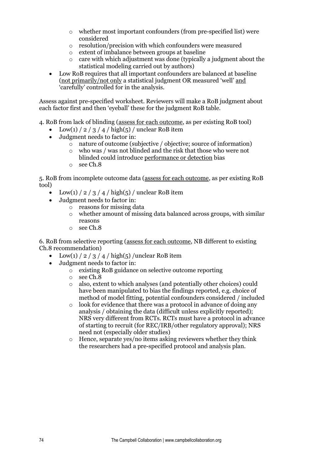- o whether most important confounders (from pre-specified list) were considered
- o resolution/precision with which confounders were measured
- o extent of imbalance between groups at baseline
- o care with which adjustment was done (typically a judgment about the statistical modeling carried out by authors)
- Low RoB requires that all important confounders are balanced at baseline (not primarily/not only a statistical judgment OR measured 'well' and 'carefully' controlled for in the analysis.

Assess against pre-specified worksheet. Reviewers will make a RoB judgment about each factor first and then 'eyeball' these for the judgment RoB table.

4. RoB from lack of blinding (assess for each outcome, as per existing RoB tool)

- $\bullet$  Low(1) / 2 / 3 / 4 / high(5) / unclear RoB item
- Judgment needs to factor in:
	- $\overline{\circ}$  nature of outcome (subjective / objective; source of information)
	- o who was / was not blinded and the risk that those who were not blinded could introduce performance or detection bias
	- o see Ch.8

5. RoB from incomplete outcome data (assess for each outcome, as per existing RoB tool)

- Low(1) / 2 / 3 / 4 / high(5) / unclear RoB item
- Judgment needs to factor in:
	- o reasons for missing data
		- o whether amount of missing data balanced across groups, with similar reasons
		- o see Ch.8

6. RoB from selective reporting (assess for each outcome, NB different to existing Ch.8 recommendation)

- Low(1)  $/$  2  $/$  3  $/$  4  $/$  high(5) /unclear RoB item
- Judgment needs to factor in:
	- o existing RoB guidance on selective outcome reporting
	- o see Ch.8
	- o also, extent to which analyses (and potentially other choices) could have been manipulated to bias the findings reported, e.g. choice of method of model fitting, potential confounders considered / included
	- o look for evidence that there was a protocol in advance of doing any analysis / obtaining the data (difficult unless explicitly reported); NRS very different from RCTs. RCTs must have a protocol in advance of starting to recruit (for REC/IRB/other regulatory approval); NRS need not (especially older studies)
	- Hence, separate yes/no items asking reviewers whether they think the researchers had a pre-specified protocol and analysis plan.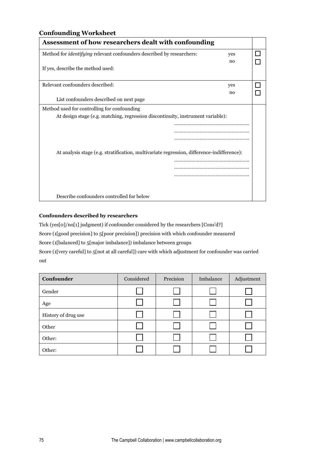## **Confounding Worksheet**

| Assessment of how researchers dealt with confounding                                       |     |  |  |  |
|--------------------------------------------------------------------------------------------|-----|--|--|--|
| Method for <i>identifying</i> relevant confounders described by researchers:<br>yes        |     |  |  |  |
|                                                                                            | no  |  |  |  |
| If yes, describe the method used:                                                          |     |  |  |  |
|                                                                                            |     |  |  |  |
| Relevant confounders described:                                                            | yes |  |  |  |
|                                                                                            | no  |  |  |  |
| List confounders described on next page                                                    |     |  |  |  |
| Method used for controlling for confounding                                                |     |  |  |  |
| At design stage (e.g. matching, regression discontinuity, instrument variable):            |     |  |  |  |
|                                                                                            |     |  |  |  |
|                                                                                            |     |  |  |  |
|                                                                                            |     |  |  |  |
|                                                                                            |     |  |  |  |
| At analysis stage (e.g. stratification, multivariate regression, difference-indifference): |     |  |  |  |
|                                                                                            |     |  |  |  |
|                                                                                            |     |  |  |  |
|                                                                                            |     |  |  |  |
|                                                                                            |     |  |  |  |
|                                                                                            |     |  |  |  |
| Describe confounders controlled for below                                                  |     |  |  |  |

#### **Confounders described by researchers**

Tick (yes[0]/no[1] judgment) if confounder considered by the researchers [Cons'd?]

Score (1[good precision] to 5[poor precision]) precision with which confounder measured

Score (1[balanced] to 5[major imbalance]) imbalance between groups

Score (1[very careful] to 5[not at all careful]) care with which adjustment for confounder was carried out

| Confounder          | Considered | Precision | Imbalance | Adjustment |
|---------------------|------------|-----------|-----------|------------|
| Gender              |            |           |           |            |
| Age                 |            |           |           |            |
| History of drug use |            |           |           |            |
| Other               |            |           |           |            |
| Other:              |            |           |           |            |
| Other:              |            |           |           |            |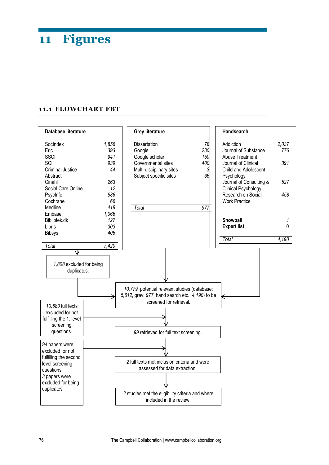# **11 Figures**

#### **11.1 FLOWCHART FBT**